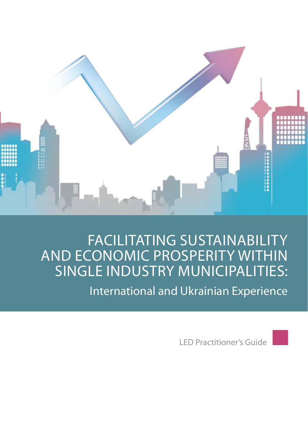

# FACILITATING SUSTAINABILITY AND ECONOMIC PROSPERITY WITHIN SINGLE INDUSTRY MUNICIPALITIES:

International and Ukrainian Experience

LED Practitioner's Guide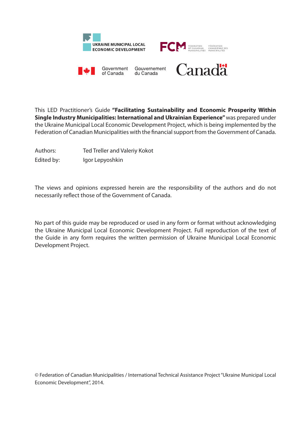

This LED Practitioner's Guide **"Facilitating Sustainability and Economic Prosperity Within Single Industry Municipalities: International and Ukrainian Experience"** was prepared under the Ukraine Municipal Local Economic Development Project, which is being implemented by the Federation of Canadian Municipalities with the financial support from the Government of Canada.

Authors: Ted Treller and Valeriy Kokot

Edited by: Igor Lepyoshkin

The views and opinions expressed herein are the responsibility of the authors and do not necessarily reflect those of the Government of Canada.

No part of this guide may be reproduced or used in any form or format without acknowledging the Ukraine Municipal Local Economic Development Project. Full reproduction of the text of the Guide in any form requires the written permission of Ukraine Municipal Local Economic Development Project.

© Federation of Canadian Municipalities / International Technical Assistance Project "Ukraine Municipal Local Economic Development", 2014.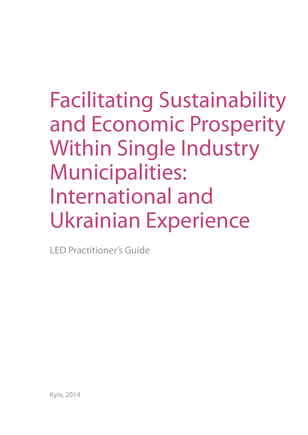# Facilitating Sustainability and Economic Prosperity Within Single Industry Municipalities: International and Ukrainian Experience

LED Practitioner's Guide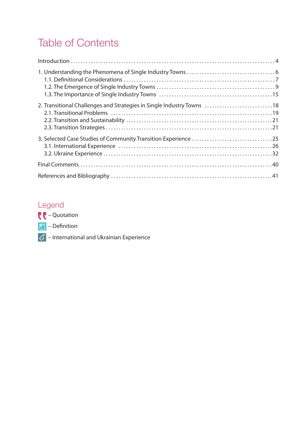# Table of Contents

| $Introduction \dots 1.11$                                              |  |
|------------------------------------------------------------------------|--|
|                                                                        |  |
| 2. Transitional Challenges and Strategies in Single Industry Towns  18 |  |
|                                                                        |  |
|                                                                        |  |
|                                                                        |  |

## Legend



- $\boxed{1}$  Definition
- $\sqrt{\mathcal{I}}$  International and Ukrainian Experience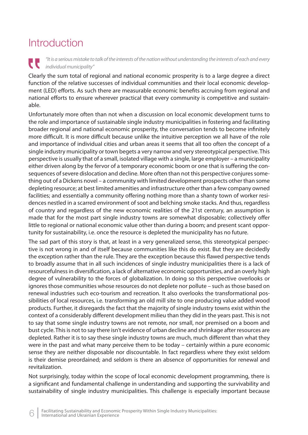# **Introduction**

"It is a serious mistake to talk of the interests of the nation without understanding the interests of each and every U individual municipality"

Clearly the sum total of regional and national economic prosperity is to a large degree a direct function of the relative successes of individual communities and their local economic development (LED) efforts. As such there are measurable economic benefits accruing from regional and national efforts to ensure wherever practical that every community is competitive and sustainable.

Unfortunately more often than not when a discussion on local economic development turns to the role and importance of sustainable single industry municipalities in fostering and facilitating broader regional and national economic prosperity, the conversation tends to become infinitely more difficult. It is more difficult because unlike the intuitive perception we all have of the role and importance of individual cities and urban areas it seems that all too often the concept of a single industry municipality or town begets a very narrow and very stereotypical perspective. This perspective is usually that of a small, isolated village with a single, large employer – a municipality either driven along by the fervor of a temporary economic boom or one that is suffering the consequences of severe dislocation and decline. More often than not this perspective conjures something out of a Dickens novel – a community with limited development prospects other than some depleting resource; at best limited amenities and infrastructure other than a few company owned facilities; and essentially a community offering nothing more than a shanty town of worker residences nestled in a scarred environment of soot and belching smoke stacks. And thus, regardless of country and regardless of the new economic realities of the 21st century, an assumption is made that for the most part single industry towns are somewhat disposable; collectively offer little to regional or national economic value other than during a boom; and present scant opportunity for sustainability, i.e. once the resource is depleted the municipality has no future.

The sad part of this story is that, at least in a very generalized sense, this stereotypical perspective is not wrong in and of itself because communities like this do exist. But they are decidedly the exception rather than the rule. They are the exception because this flawed perspective tends to broadly assume that in all such incidences of single industry municipalities there is a lack of resourcefulness in diversification, a lack of alternative economic opportunities, and an overly high degree of vulnerability to the forces of globalization. In doing so this perspective overlooks or ignores those communities whose resources do not deplete nor pollute – such as those based on renewal industries such eco-tourism and recreation. It also overlooks the transformational possibilities of local resources, i.e. transforming an old mill site to one producing value added wood products. Further, it disregards the fact that the majority of single industry towns exist within the context of a considerably different development milieu than they did in the years past. This is not to say that some single industry towns are not remote, nor small, nor premised on a boom and bust cycle. This is not to say there isn't evidence of urban decline and shrinkage after resources are depleted. Rather it is to say these single industry towns are much, much different than what they were in the past and what many perceive them to be today – certainly within a pure economic sense they are neither disposable nor discountable. In fact regardless where they exist seldom is their demise preordained; and seldom is there an absence of opportunities for renewal and revitalization.

Not surprisingly, today within the scope of local economic development programming, there is a significant and fundamental challenge in understanding and supporting the survivability and sustainability of single industry municipalities. This challenge is especially important because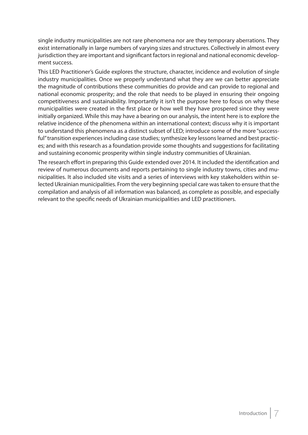single industry municipalities are not rare phenomena nor are they temporary aberrations. They exist internationally in large numbers of varying sizes and structures. Collectively in almost every jurisdiction they are important and significant factors in regional and national economic development success.

This LED Practitioner's Guide explores the structure, character, incidence and evolution of single industry municipalities. Once we properly understand what they are we can better appreciate the magnitude of contributions these communities do provide and can provide to regional and national economic prosperity; and the role that needs to be played in ensuring their ongoing competitiveness and sustainability. Importantly it isn't the purpose here to focus on why these municipalities were created in the first place or how well they have prospered since they were initially organized. While this may have a bearing on our analysis, the intent here is to explore the relative incidence of the phenomena within an international context; discuss why it is important to understand this phenomena as a distinct subset of LED; introduce some of the more "successful" transition experiences including case studies; synthesize key lessons learned and best practices; and with this research as a foundation provide some thoughts and suggestions for facilitating and sustaining economic prosperity within single industry communities of Ukrainian.

The research effort in preparing this Guide extended over 2014. It included the identification and review of numerous documents and reports pertaining to single industry towns, cities and municipalities. It also included site visits and a series of interviews with key stakeholders within selected Ukrainian municipalities. From the very beginning special care was taken to ensure that the compilation and analysis of all information was balanced, as complete as possible, and especially relevant to the specific needs of Ukrainian municipalities and LED practitioners.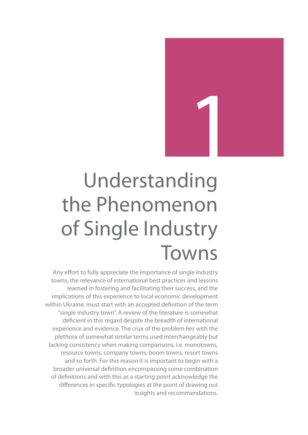

# Understanding the Phenomenon of Single Industry Towns

Any effort to fully appreciate the importance of single industry towns, the relevance of international best practices and lessons learned in fostering and facilitating their success, and the implications of this experience to local economic development within Ukraine, must start with an accepted definition of the term "single industry town". A review of the literature is somewhat deficient in this regard despite the breadth of international experience and evidence. The crux of the problem lies with the plethora of somewhat similar terms used interchangeably but lacking consistency when making comparisons, i.e. monotowns, resource towns, company towns, boom towns, resort towns and so forth. For this reason it is important to begin with a broader universal definition encompassing some combination of definitions and with this as a starting point acknowledge the differences in specific typologies at the point of drawing out insights and recommendations.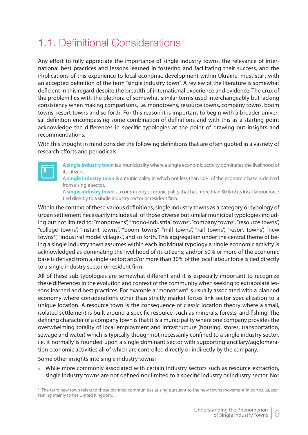# 1.1. Definitional Considerations

Any effort to fully appreciate the importance of single industry towns, the relevance of international best practices and lessons learned in fostering and facilitating their success, and the implications of this experience to local economic development within Ukraine, must start with an accepted definition of the term "single industry town". A review of the literature is somewhat deficient in this regard despite the breadth of international experience and evidence. The crux of the problem lies with the plethora of somewhat similar terms used interchangeably but lacking consistency when making comparisons, i.e. monotowns, resource towns, company towns, boom towns, resort towns and so forth. For this reason it is important to begin with a broader universal definition encompassing some combination of definitions and with this as a starting point acknowledge the differences in specific typologies at the point of drawing out insights and recommendations.

With this thought in mind consider the following definitions that are often quoted in a vasriety of research efforts and periodicals:



A **single industry town** is a municipality where a single economic activity dominates the livelihood of its citizens.

A **single industry town** is a municipality in which not less than 50% of the economic base is derived from a single sector.

A **single industry town** is a community or municipality that has more than 30% of its local labour force tied directly to a single industry sector or resident firm.

Within the context of these various definitions, single industry towns as a category or typology of urban settlement necessarily includes all of those diverse but similar municipal typologies including but not limited to: "monotowns", "mono-industrial towns", "company towns", "resource towns", "college towns", "instant towns", "boom towns", "mill towns", "rail towns", "resort towns", "new towns<sup>1</sup>", "industrial model villages", and so forth. This aggregation under the central theme of being a single industry town assumes within each individual typology a single economic activity is acknowledged as dominating the livelihood of its citizens; and/or 50% or more of the economic base is derived from a single sector; and/or more than 30% of the local labour force is tied directly to a single industry sector or resident firm.

All of these sub-typologies are somewhat different and it is especially important to recognize these differences in the evolution and context of the community when seeking to extrapolate lessons learned and best practices. For example a "monotown" is usually associated with a planned economy where considerations other than strictly market forces link sector specialization to a unique location. A resource town is the consequence of classic location theory where a small, isolated settlement is built around a specific resource, such as minerals, forests, and fishing. The defining character of a company town is that it is a municipality where one company provides the overwhelming totality of local employment and infrastructure (housing, stores, transportation, sewage and water) which is typically though not necessarily confined to a single industry sector, i.e. it normally is founded upon a single dominant sector with supporting ancillary/agglomeration economic activities all of which are controlled directly or indirectly by the company.

Some other insights into single industry towns:

 While more commonly associated with certain industry sectors such as resource extraction, single industry towns are not defined nor limited to a specific industry or industry sector. Nor

<sup>1</sup> The term new town refers to those planned communities arising pursuant to the new towns movement in particular, pertaining mainly to the United Kingdom.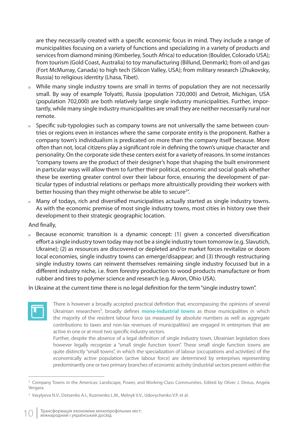are they necessarily created with a specific economic focus in mind. They include a range of municipalities focusing on a variety of functions and specializing in a variety of products and services from diamond mining (Kimberley, South Africa) to education (Boulder, Colorado USA); from tourism (Gold Coast, Australia) to toy manufacturing (Billund, Denmark); from oil and gas (Fort McMurray, Canada) to high tech (Silicon Valley, USA); from military research (Zhukovsky, Russia) to religious identity (Lhasa, Tibet).

- While many single industry towns are small in terms of population they are not necessarily small. By way of example Tolyatti, Russia (population 720,000) and Detroit, Michigan, USA (population 702,000) are both relatively large single industry municipalities. Further, importantly, while many single industry municipalities are small they are neither necessarily rural nor remote.
- Specific sub-typologies such as company towns are not universally the same between countries or regions even in instances where the same corporate entity is the proponent. Rather a company town's individualism is predicated on more than the company itself because. More often than not, local citizens play a significant role in defining the town's unique character and personality. On the corporate side these centers exist for a variety of reasons. In some instances "company towns are the product of their designer's hope that shaping the built environment in particular ways will allow them to further their political, economic and social goals whether these be exerting greater control over their labour force, ensuring the development of particular types of industrial relations or perhaps more altruistically providing their workers with better housing than they might otherwise be able to secure<sup>2"</sup>.
- $\blacksquare$  Many of todays, rich and diversified municipalities actually started as single industry towns. As with the economic premise of most single industry towns, most cities in history owe their development to their strategic geographic location.

#### And finally,

Because economic transition is a dynamic concept:  $(1)$  given a concerted diversification effort a single industry town today may not be a single industry town tomorrow (e.g. Slavutich, Ukraine); (2) as resources are discovered or depleted and/or market forces revitalize or doom local economies, single industry towns can emerge/disappear; and (3) through restructuring single industry towns can reinvent themselves remaining single industry focussed but in a different industry niche, i.e. from forestry production to wood products manufacture or from rubber and tires to polymer science and research (e.g. Akron, Ohio USA).

In Ukraine at the current time there is no legal definition for the term "single industry town".



There is however a broadly accepted practical definition that, encompassing the opinions of several Ukrainian researchers<sup>3</sup>, broadly defines **mono-industrial towns** as those municipalities in which the majority of the resident labour force (as measured by absolute numbers as well as aggregate contributions to taxes and non-tax revenues of municipalities) are engaged in enterprises that are active in one or at most two specific industry sectors.

Further, despite the absence of a legal definition of single industry town, Ukrainian legislation does however legally recognize a "small single function town". These small single function towns are quite distinctly "small towns", in which the specialization of labour (occupations and activities) of the economically active population (active labour force) are determined by enterprises representing predominantly one or two primary branches of economic activity (industrial sectors present within the

<sup>2</sup> Company Towns in the Americas: Landscape, Power, and Working-Class Communities. Edited by Oliver J. Dinius, Angela Vergara.

<sup>&</sup>lt;sup>3</sup> Vasylyeva N.V., Dotsenko A.I., Kuzmenko L.M., Melnyk V.V., Udovychenko V.P. et al.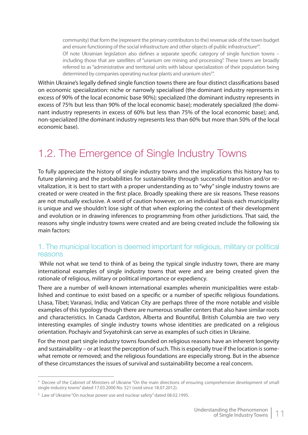community) that form the (represent the primary contributors to the) revenue side of the town budget and ensure functioning of the social infrastructure and other objects of public infrastructure<sup>4</sup>". Of note Ukrainian legislation also defines a separate specific category of single function towns – including those that are satellites of "uranium ore mining and processing". These towns are broadly referred to as "administrative and territorial units with labour specialization of their population being determined by companies operating nuclear plants and uranium sites<sup>5"</sup>.

Within Ukraine's legally defined single function towns there are four distinct classifications based on economic specialization: niche or narrowly specialised (the dominant industry represents in excess of 90% of the local economic base 90%); specialized (the dominant industry represents in excess of 75% but less than 90% of the local economic base); moderately specialized (the dominant industry represents in excess of 60% but less than 75% of the local economic base); and, non-specialized (the dominant industry represents less than 60% but more than 50% of the local economic base).

# 1.2. The Emergence of Single Industry Towns

To fully appreciate the history of single industry towns and the implications this history has to future planning and the probabilities for sustainability through successful transition and/or revitalization, it is best to start with a proper understanding as to "why" single industry towns are created or were created in the first place. Broadly speaking there are six reasons. These reasons are not mutually exclusive. A word of caution however, on an individual basis each municipality is unique and we shouldn't lose sight of that when exploring the context of their development and evolution or in drawing inferences to programming from other jurisdictions. That said, the reasons why single industry towns were created and are being created include the following six main factors:

## 1. The municipal location is deemed important for religious, military or political reasons

While not what we tend to think of as being the typical single industry town, there are many international examples of single industry towns that were and are being created given the rationale of religious, military or political importance or expediency.

There are a number of well-known international examples wherein municipalities were established and continue to exist based on a specific or a number of specific religious foundations. Lhasa, Tibet; Varanasi, India; and Vatican City are perhaps three of the more notable and visible examples of this typology though there are numerous smaller centers that also have similar roots and characteristics. In Canada Cardston, Alberta and Bountiful, British Columbia are two very interesting examples of single industry towns whose identities are predicated on a religious orientation. Pochayiv and Svyatohirsk can serve as examples of such cities in Ukraine.

For the most part single industry towns founded on religious reasons have an inherent longevity and sustainability – or at least the perception of such. This is especially true if the location is somewhat remote or removed; and the religious foundations are especially strong. But in the absence of these circumstances the issues of survival and sustainability become a real concern.

<sup>4</sup> Decree of the Cabinet of Ministers of Ukraine "On the main directions of ensuring comprehensive development of small single industry towns" dated 17.03.2000 No. 521 (void since 18.07.2012).

<sup>&</sup>lt;sup>5</sup> Law of Ukraine "On nuclear power use and nuclear safety" dated 08.02.1995.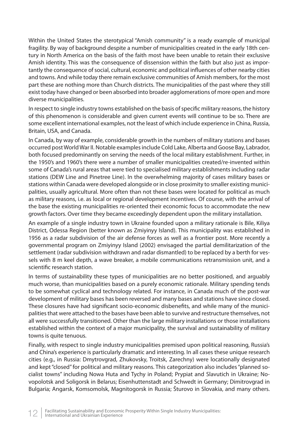Within the United States the sterotypical "Amish community" is a ready example of municipal fragility. By way of background despite a number of municipalities created in the early 18th century in North America on the basis of the faith most have been unable to retain their exclusive Amish identity. This was the consequence of dissension within the faith but also just as importantly the consequence of social, cultural, economic and political influences of other nearby cities and towns. And while today there remain exclusive communities of Amish members, for the most part these are nothing more than Church districts. The municipalities of the past where they still exist today have changed or been absorbed into broader agglomerations of more open and more diverse municipalities.

In respect to single industry towns established on the basis of specific military reasons, the history of this phenomenon is considerable and given current events will continue to be so. There are some excellent international examples, not the least of which include experience in China, Russia, Britain, USA, and Canada.

In Canada, by way of example, considerable growth in the numbers of military stations and bases occurred post World War II. Notable examples include Cold Lake, Alberta and Goose Bay, Labrador, both focused predominantly on serving the needs of the local military establishment. Further, in the 1950's and 1960's there were a number of smaller municipalities created/re-invented within some of Canada's rural areas that were tied to specialised military establishments including radar stations (DEW Line and Pinetree Line). In the overwhelming majority of cases military bases or stations within Canada were developed alongside or in close proximity to smaller existing municipalities, usually agricultural. More often than not these bases were located for political as much as military reasons, i.e. as local or regional development incentives. Of course, with the arrival of the base the existing municipalities re-oriented their economic focus to accommodate the new growth factors. Over time they became exceedingly dependent upon the military installation.

An example of a single industry town in Ukraine founded upon a military rationale is Bile, Kiliya District, Odessa Region (better known as Zmiyinyy Island). This municipality was established in 1956 as a radar subdivision of the air defense forces as well as a frontier post. More recently a governmental program on Zmiyinyy Island (2002) envisaged the partial demilitarization of the settlement (radar subdivision withdrawn and radar dismantled) to be replaced by a berth for vessels with 8 m keel depth, a wave breaker, a mobile communications retransmission unit, and a scientific research station.

In terms of sustainability these types of municipalities are no better positioned, and arguably much worse, than municipalities based on a purely economic rationale. Military spending tends to be somewhat cyclical and technology related. For instance, in Canada much of the post-war development of military bases has been reversed and many bases and stations have since closed. These closures have had significant socio-economic disbenefits, and while many of the municipalities that were attached to the bases have been able to survive and restructure themselves, not all were successfully transitioned. Other than the large military installations or those installations established within the context of a major municipality, the survival and sustainability of military towns is quite tenuous.

Finally, with respect to single industry municipalities premised upon political reasoning, Russia's and China's experience is particularly dramatic and interesting. In all cases these unique research cities (e.g., in Russia: Dmytrovgrad, Zhukovsky, Troitsk, Zarechny) were locationally designated and kept "closed" for political and military reasons. This categorization also includes "planned socialist towns" including Nowa Huta and Tychy in Poland; Prypiat and Slavutich in Ukraine; Novopolotsk and Soligorsk in Belarus; Eisenhuttenstadt and Schwedt in Germany; Dimitrovgrad in Bulgaria; Angarsk, Komsomolsk, Magnitogorsk in Russia; Šturovo in Slovakia, and many others.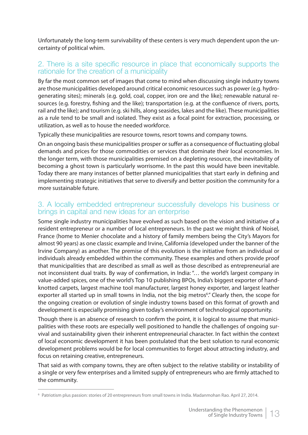Unfortunately the long-term survivability of these centers is very much dependent upon the uncertainty of political whim.

## 2. There is a site specific resource in place that economically supports the rationale for the creation of a municipality

By far the most common set of images that come to mind when discussing single industry towns are those municipalities developed around critical economic resources such as power (e.g. hydrogenerating sites); minerals (e.g. gold, coal, copper, iron ore and the like); renewable natural resources (e.g. forestry, fishing and the like); transportation (e.g. at the confluence of rivers, ports, rail and the like); and tourism (e.g. ski hills, along seasides, lakes and the like). These municipalities as a rule tend to be small and isolated. They exist as a focal point for extraction, processing, or utilization, as well as to house the needed workforce.

Typically these municipalities are resource towns, resort towns and company towns.

On an ongoing basis these municipalities prosper or suffer as a consequence of fluctuating global demands and prices for those commodities or services that dominate their local economies. In the longer term, with those municipalities premised on a depleting resource, the inevitability of becoming a ghost town is particularly worrisome. In the past this would have been inevitable. Today there are many instances of better planned municipalities that start early in defining and implementing strategic initiatives that serve to diversify and better position the community for a more sustainable future.

## 3. A locally embedded entrepreneur successfully develops his business or brings in capital and new ideas for an enterprise

Some single industry municipalities have evolved as such based on the vision and initiative of a resident entrepreneur or a number of local entrepreneurs. In the past we might think of Noisel, France (home to Menier chocolate and a history of family members being the City's Mayors for almost 90 years) as one classic example and Irvine, California (developed under the banner of the Irvine Company) as another. The premise of this evolution is the initiative from an individual or individuals already embedded within the community. These examples and others provide proof that municipalities that are described as small as well as those described as entrepreneurial are not inconsistent dual traits. By way of confirmation, in India: "... the world's largest company in value-added spices, one of the world's Top 10 publishing BPOs, India's biggest exporter of handknotted carpets, largest machine tool manufacturer, largest honey exporter, and largest leather exporter all started up in small towns in India, not the big metros<sup>6</sup>." Clearly then, the scope for the ongoing creation or evolution of single industry towns based on this format of growth and development is especially promising given today's environment of technological opportunity.

Though there is an absence of research to confirm the point, it is logical to assume that municipalities with these roots are especially well positioned to handle the challenges of ongoing survival and sustainability given their inherent entrepreneurial character. In fact within the context of local economic development it has been postulated that the best solution to rural economic development problems would be for local communities to forget about attracting industry, and focus on retaining creative, entrepreneurs.

That said as with company towns, they are often subject to the relative stability or instability of a single or very few enterprises and a limited supply of entrepreneurs who are firmly attached to the community.

<sup>6</sup> Patriotism plus passion: stories of 20 entrepreneurs from small towns in India. Madanmohan Rao. April 27, 2014.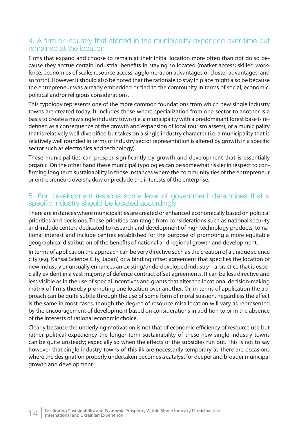## 4. A firm or industry that started in the municipality expanded over time but remained at the location

Firms that expand and choose to remain at their initial location more often than not do so because they accrue certain industrial benefits in staying so located (market access; skilled workforce; economies of scale; resource access; agglomeration advantages or cluster advantages; and so forth). However it should also be noted that the rationale to stay in place might also be because the entrepreneur was already embedded or tied to the community in terms of social, economic, political and/or religious considerations.

This typology represents one of the more common foundations from which new single industry towns are created today. It includes those where specialization from one sector to another is a basis to create a new single industry town (i.e. a municipality with a predominant forest base is redefined as a consequence of the growth and expansion of local tourism assets); or a municipality that is relatively well diversified but takes on a single industry character (i.e. a municipality that is relatively well rounded in terms of industry sector representation is altered by growth in a specific sector such as electronics and technology).

These municipalities can prosper significantly by growth and development that is essentially organic. On the other hand these municipal typologies can be somewhat riskier in respect to confirming long term sustainability in those instances where the community ties of the entrepreneur or entrepreneurs overshadow or preclude the interests of the enterprise.

## 5. For development reasons some level of government determines that a specific industry should be located accordingly

There are instances where municipalities are created or enhanced economically based on political priorities and decisions. These priorities can range from considerations such as national security and include centers dedicated to research and development of high technology products, to national interest and include centres established for the purpose of promoting a more equitable geographical distribution of the benefits of national and regional growth and development.

In terms of application the approach can be very directive such as the creation of a unique science city (e.g. Kansai Science City, Japan) or a binding offset agreement that specifies the location of new industry or unsually enhances an existing/underdeveloped industry – a practice that is especially evident in a vast majority of defence contract offset agreements. It can be less directive and less visible as in the use of special incentives and grants that alter the locational decision-making matrix of firms thereby promoting one location over another. Or, in terms of application the approach can be quite subtle through the use of some form of moral suasion. Regardless the effect is the same in most cases, though the degree of resource misallocation will vary as represented by the encouragement of development based on considerations in addition to or in the absence of the interests of rational economic choice.

Clearly because the underlying motivation is not that of economic efficiency of resource use but rather political expediency the longer term sustainability of these new single industry towns can be quite unsteady; especially so when the effects of the subsidies run out. This is not to say however that single industry towns of this ilk are necessarily temporary as there are occasions where the designation properly undertaken becomes a catalyst for deeper and broader municipal growth and development.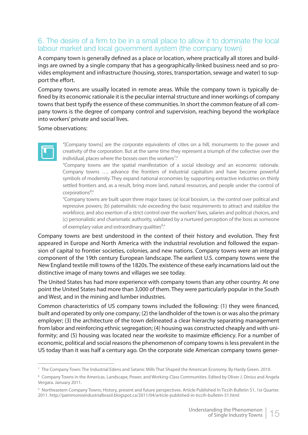## 6. The desire of a firm to be in a small place to allow it to dominate the local labour market and local government system (the company town)

A company town is generally defined as a place or location, where practically all stores and buildings are owned by a single company that has a geographically-linked business need and so provides employment and infrastructure (housing, stores, transportation, sewage and water) to support the effort.

Company towns are usually located in remote areas. While the company town is typically defined by its economic rationale it is the peculiar internal structure and inner workings of company towns that best typify the essence of these communities. In short the common feature of all company towns is the degree of company control and supervision, reaching beyond the workplace into workers' private and social lives.

Some observations:



"[Company towns] are the corporate equivalents of cities on a hill, monuments to the power and creativity of the corporation. But at the same time they represent a triumph of the collective over the individual, places where the bosses own the workers<sup>7</sup>."

"Company towns are the spatial manifestation of a social ideology and an economic rationale. Company towns …. advance the frontiers of industrial capitalism and have become powerful symbols of modernity. They expand national economies by supporting extractive industries on thinly settled frontiers and, as a result, bring more land, natural resources, and people under the control of corporations<sup>8</sup>."

"Company towns are built upon three major bases: (a) local bossism, i.e. the control over political and repressive powers; (b) paternalistic rule exceeding the basic requirements to attract and stabilize the workforce, and also exertion of a strict control over the workers' lives, salaries and political choices, and (c) personalistic and charismatic authority, validated by a nurtured perception of the boss as someone of exemplary value and extraordinary qualities<sup>9</sup>."

Company towns are best understood in the context of their history and evolution. They first appeared in Europe and North America with the industrial revolution and followed the expansion of capital to frontier societies, colonies, and new nations. Company towns were an integral component of the 19th century European landscape. The earliest U.S. company towns were the New England textile mill towns of the 1820s. The existence of these early incarnations laid out the distinctive image of many towns and villages we see today.

The United States has had more experience with company towns than any other country. At one point the United States had more than 3,000 of them. They were particularly popular in the South and West, and in the mining and lumber industries.

Common characteristics of US company towns included the following: (1) they were financed, built and operated by only one company; (2) the landholder of the town is or was also the primary employer; (3) the architecture of the town delineated a clear hierarchy separating management from labor and reinforcing ethnic segregation; (4) housing was constructed cheaply and with uniformity; and (5) housing was located near the worksite to maximize efficiency. For a number of economic, political and social reasons the phenomenon of company towns is less prevalent in the US today than it was half a century ago. On the corporate side American company towns gener-

<sup>7</sup> The Company Town: The Industrial Edens and Satanic Mills That Shaped the American Economy. By Hardy Green. 2010.

<sup>8</sup> Company Towns in the Americas. Landscape, Power, and Working-Class Communities. Edited by Oliver J. Dinius and Angela Vergara. January 2011.

<sup>9</sup> Northeastern Company Towns; History, present and future perspectives. Article Published In Ticcih Bulletin 51, 1st Quarter. 2011. http://patrimonioindustrialbrasil.blogspot.ca/2011/04/article-published-in-ticcih-bulletin-51.html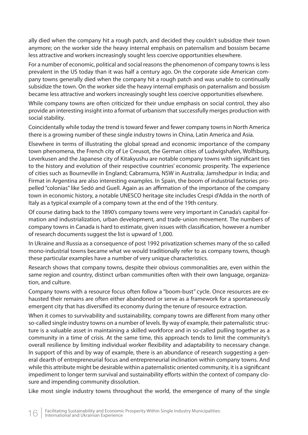ally died when the company hit a rough patch, and decided they couldn't subsidize their town anymore; on the worker side the heavy internal emphasis on paternalism and bossism became less attractive and workers increasingly sought less coercive opportunities elsewhere.

For a number of economic, political and social reasons the phenomenon of company towns is less prevalent in the US today than it was half a century ago. On the corporate side American company towns generally died when the company hit a rough patch and was unable to continually subsidize the town. On the worker side the heavy internal emphasis on paternalism and bossism became less attractive and workers increasingly sought less coercive opportunities elsewhere.

While company towns are often criticized for their undue emphasis on social control, they also provide an interesting insight into a format of urbanism that successfully merges production with social stability.

Coincidentally while today the trend is toward fewer and fewer company towns in North America there is a growing number of these single industry towns in China, Latin America and Asia.

Elsewhere in terms of illustrating the global spread and economic importance of the company town phenomena, the French city of Le Creusot, the German cities of Ludwigshafen, Wolfsburg, Leverkusen and the Japanese city of Kitakyushu are notable company towns with significant ties to the history and evolution of their respective countries' economic prosperity. The experience of cities such as Bourneville in England; Cabramurra, NSW in Australia; Jamshedpur in India; and Firmat in Argentina are also interesting examples. In Spain, the boom of industrial factories propelled "colonias" like Sedó and Guell. Again as an affirmation of the importance of the company town in economic history, a notable UNESCO heritage site includes Crespi d'Adda in the north of Italy as a typical example of a company town at the end of the 19th century.

Of course dating back to the 1890's company towns were very important in Canada's capital formation and industrialization, urban development, and trade-union movement. The numbers of company towns in Canada is hard to estimate, given issues with classification, however a number of research documents suggest the list is upward of 1,000.

In Ukraine and Russia as a consequence of post 1992 privatization schemes many of the so called mono-industrial towns became what we would traditionally refer to as company towns, though these particular examples have a number of very unique characteristics.

Research shows that company towns, despite their obvious commonalities are, even within the same region and country, distinct urban communities often with their own language, organization, and culture.

Company towns with a resource focus often follow a "boom-bust" cycle. Once resources are exhausted their remains are often either abandoned or serve as a framework for a spontaneously emergent city that has diversified its economy during the tenure of resource extraction.

When it comes to survivability and sustainability, company towns are different from many other so-called single industry towns on a number of levels. By way of example, their paternalistic structure is a valuable asset in maintaining a skilled workforce and in so-called pulling together as a community in a time of crisis. At the same time, this approach tends to limit the community's overall resilience by limiting individual worker flexibility and adaptability to necessary change. In support of this and by way of example, there is an abundance of research suggesting a general dearth of entrepreneurial focus and entrepreneurial inclination within company towns. And while this attribute might be desirable within a paternalistic oriented community, it is a significant impediment to longer term survival and sustainability efforts within the context of company closure and impending community dissolution.

Like most single industry towns throughout the world, the emergence of many of the single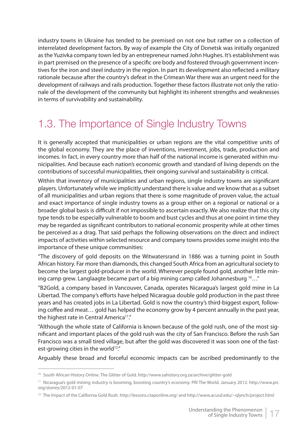industry towns in Ukraine has tended to be premised on not one but rather on a collection of interrelated development factors. By way of example the City of Donetsk was initially organized as the Yuzivka company town led by an entrepreneur named John Hughes. It's establishment was in part premised on the presence of a specific ore body and fostered through government incentives for the iron and steel industry in the region. In part its development also reflected a military rationale because after the country's defeat in the Crimean War there was an urgent need for the development of railways and rails production. Together these factors illustrate not only the rationale of the development of the community but highlight its inherent strengths and weaknesses in terms of survivability and sustainability.

# 1.3. The Importance of Single Industry Towns

It is generally accepted that municipalities or urban regions are the vital competitive units of the global economy. They are the place of inventions, investment, jobs, trade, production and incomes. In fact, in every country more than half of the national income is generated within municipalities. And because each nation's economic growth and standard of living depends on the contributions of successful municipalities, their ongoing survival and sustainability is critical.

Within that inventory of municipalities and urban regions, single industry towns are significant players. Unfortunately while we implicitly understand there is value and we know that as a subset of all municipalities and urban regions that there is some magnitude of proven value, the actual and exact importance of single industry towns as a group either on a regional or national or a broader global basis is difficult if not impossible to ascertain exactly. We also realize that this city type tends to be especially vulnerable to boom and bust cycles and thus at one point in time they may be regarded as significant contributors to national economic prosperity while at other times be perceived as a drag. That said perhaps the following observations on the direct and indirect impacts of activities within selected resource and company towns provides some insight into the importance of these unique communities:

"The discovery of gold deposits on the Witwatersrand in 1886 was a turning point in South African history. Far more than diamonds, this changed South Africa from an agricultural society to become the largest gold-producer in the world. Wherever people found gold, another little mining camp grew. Langlaagte became part of a big mining camp called Johannesburg  $10...$ "

"B2Gold, a company based in Vancouver, Canada, operates Nicaragua's largest gold mine in La Libertad. The company's efforts have helped Nicaragua double gold production in the past three years and has created jobs in La Libertad. Gold is now the country's third-biggest export, following coffee and meat... gold has helped the economy grow by 4 percent annually in the past year, the highest rate in Central America<sup>11</sup>."

"Although the whole state of California is known because of the gold rush, one of the most significant and important places of the gold rush was the city of San Francisco. Before the rush San Francisco was a small tired village, but after the gold was discovered it was soon one of the fastest-growing cities in the world<sup>12</sup>."

Arguably these broad and forceful economic impacts can be ascribed predominantly to the

<sup>10</sup> South African History Online. The Glitter of Gold. http://www.sahistory.org.za/archive/glitter-gold

<sup>11</sup> Nicaragua's gold mining industry is booming, boosting country's economy. PRI The World. January 2012. http://www.pri. org/stories/2012-01-07

<sup>12</sup> The Impact of the California Gold Rush. http://lessons.ctaponline.org/ and http://www.acusd.edu/~qlynch/project.html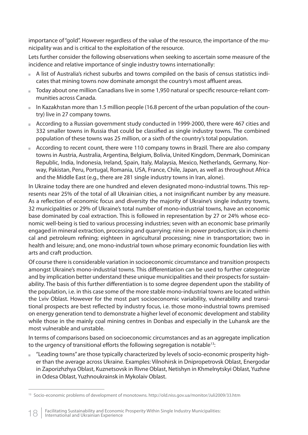importance of "gold". However regardless of the value of the resource, the importance of the municipality was and is critical to the exploitation of the resource.

Lets further consider the following observations when seeking to ascertain some measure of the incidence and relative importance of single industry towns internationally:

- A list of Australia's richest suburbs and towns compiled on the basis of census statistics indicates that mining towns now dominate amongst the country's most affluent areas.
- Today about one million Canadians live in some 1,950 natural or specific resource-reliant communities across Canada.
- In Kazakhstan more than 1.5 million people (16.8 percent of the urban population of the country) live in 27 company towns.
- According to a Russian government study conducted in 1999-2000, there were 467 cities and 332 smaller towns in Russia that could be classified as single industry towns. The combined population of these towns was 25 million, or a sixth of the country's total population.
- According to recent count, there were 110 company towns in Brazil. There are also company towns in Austria, Australia, Argentina, Belgium, Bolivia, United Kingdom, Denmark, Dominican Republic, India, Indonesia, Ireland, Spain, Italy, Malaysia, Mexico, Netherlands, Germany, Norway, Pakistan, Peru, Portugal, Romania, USA, France, Chile, Japan, as well as throughout Africa and the Middle East (e.g., there are 281 single industry towns in Iran, alone).

In Ukraine today there are one hundred and eleven designated mono-industrial towns. This represents near 25% of the total of all Ukrainian cities, a not insignificant number by any measure. As a reflection of economic focus and diversity the majority of Ukraine's single industry towns, 32 municipalities or 29% of Ukraine's total number of mono-industrial towns, have an economic base dominated by coal extraction. This is followed in representation by 27 or 24% whose economic well-being is tied to various processing industries; seven with an economic base primarily engaged in mineral extraction, processing and quarrying; nine in power production; six in chemical and petroleum refining; eighteen in agricultural processing; nine in transportation; two in health and leisure; and, one mono-industrial town whose primary economic foundation lies with arts and craft production.

Of course there is considerable variation in socioeconomic circumstance and transition prospects amongst Ukraine's mono-industrial towns. This differentiation can be used to further categorize and by implication better understand these unique municipalities and their prospects for sustainability. The basis of this further differentiation is to some degree dependent upon the stability of the population, i.e. in this case some of the more stable mono-industrial towns are located within the Lviv Oblast. However for the most part socioeconomic variability, vulnerability and transitional prospects are best reflected by industry focus, i.e. those mono-industrial towns premised on energy generation tend to demonstrate a higher level of economic development and stability while those in the mainly coal mining centres in Donbas and especially in the Luhansk are the most vulnerable and unstable.

In terms of comparisons based on socioeconomic circumstances and as an aggregate implication to the urgency of transitional efforts the following segregation is notable<sup>13</sup>:

 "Leading towns" are those typically characterized by levels of socio-economic prosperity higher than the average across Ukraine. Examples: Vilnohirsk in Dnipropetrovsk Oblast, Energodar in Zaporizhzhya Oblast, Kuznetsovsk in Rivne Oblast, Netishyn in Khmelnytskyi Oblast, Yuzhne in Odesa Oblast, Yuzhnoukrainsk in Mykolaiv Oblast.

<sup>13</sup> Socio-economic problems of development of monotowns. http://old.niss.gov.ua/monitor/Juli2009/33.htm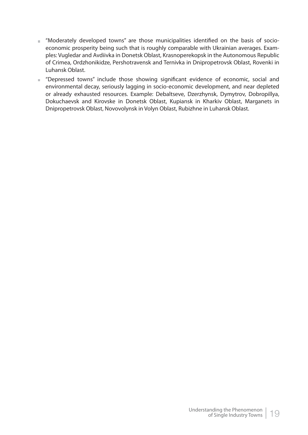- " "Moderately developed towns" are those municipalities identified on the basis of socioeconomic prosperity being such that is roughly comparable with Ukrainian averages. Examples: Vugledar and Avdiivka in Donetsk Oblast, Krasnoperekopsk in the Autonomous Republic of Crimea, Ordzhonikidze, Pershotravensk and Ternivka in Dnipropetrovsk Oblast, Rovenki in Luhansk Oblast.
- Depressed towns" include those showing significant evidence of economic, social and environmental decay, seriously lagging in socio-economic development, and near depleted or already exhausted resources. Example: Debaltseve, Dzerzhynsk, Dymytrov, Dobropillya, Dokuchaevsk and Kirovske in Donetsk Oblast, Kupiansk in Kharkiv Oblast, Marganets in Dnipropetrovsk Oblast, Novovolynsk in Volyn Oblast, Rubizhne in Luhansk Oblast.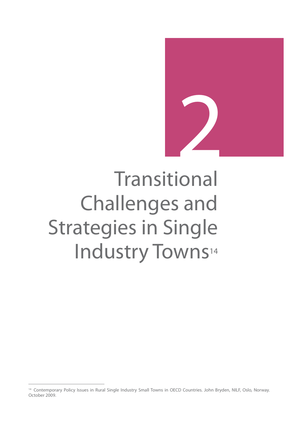

# Transitional Challenges and Strategies in Single Industry Towns<sup>14</sup>

<sup>&</sup>lt;sup>14</sup> Contemporary Policy Issues in Rural Single Industry Small Towns in OECD Countries. John Bryden, NILF, Oslo, Norway. October 2009.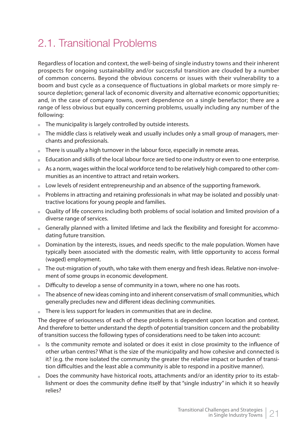# 2.1. Transitional Problems

Regardless of location and context, the well-being of single industry towns and their inherent prospects for ongoing sustainability and/or successful transition are clouded by a number of common concerns. Beyond the obvious concerns or issues with their vulnerability to a boom and bust cycle as a consequence of fluctuations in global markets or more simply resource depletion; general lack of economic diversity and alternative economic opportunities; and, in the case of company towns, overt dependence on a single benefactor; there are a range of less obvious but equally concerning problems, usually including any number of the following:

- The municipality is largely controlled by outside interests.
- $\blacksquare$  The middle class is relatively weak and usually includes only a small group of managers, merchants and professionals.
- $\blacksquare$  There is usually a high turnover in the labour force, especially in remote areas.
- Education and skills of the local labour force are tied to one industry or even to one enterprise.
- As a norm, wages within the local workforce tend to be relatively high compared to other communities as an incentive to attract and retain workers.
- Low levels of resident entrepreneurship and an absence of the supporting framework.
- Problems in attracting and retaining professionals in what may be isolated and possibly unattractive locations for young people and families.
- Quality of life concerns including both problems of social isolation and limited provision of a diverse range of services.
- Generally planned with a limited lifetime and lack the flexibility and foresight for accommodating future transition.
- Domination by the interests, issues, and needs specific to the male population. Women have typically been associated with the domestic realm, with little opportunity to access formal (waged) employment.
- The out-migration of youth, who take with them energy and fresh ideas. Relative non-involvement of some groups in economic development.
- $\blacksquare$  Difficulty to develop a sense of community in a town, where no one has roots.
- The absence of new ideas coming into and inherent conservatism of small communities, which generally precludes new and different ideas declining communities.
- There is less support for leaders in communities that are in decline.

The degree of seriousness of each of these problems is dependent upon location and context. And therefore to better understand the depth of potential transition concern and the probability of transition success the following types of considerations need to be taken into account:

- $\blacksquare$  Is the community remote and isolated or does it exist in close proximity to the influence of other urban centres? What is the size of the municipality and how cohesive and connected is it? (e.g. the more isolated the community the greater the relative impact or burden of transition difficulties and the least able a community is able to respond in a positive manner).
- Does the community have historical roots, attachments and/or an identity prior to its establishment or does the community define itself by that "single industry" in which it so heavily relies?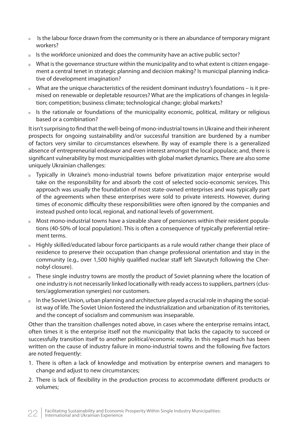- $I$  Is the labour force drawn from the community or is there an abundance of temporary migrant workers?
- $I$  Is the workforce unionized and does the community have an active public sector?
- What is the governance structure within the municipality and to what extent is citizen engagement a central tenet in strategic planning and decision making? Is municipal planning indicative of development imagination?
- What are the unique characteristics of the resident dominant industry's foundations is it premised on renewable or depletable resources? What are the implications of changes in legislation; competition; business climate; technological change; global markets?
- $\blacksquare$  Is the rationale or foundations of the municipality economic, political, military or religious based or a combination?

It isn't surprising to find that the well-being of mono-industrial towns in Ukraine and their inherent prospects for ongoing sustainability and/or successful transition are burdened by a number of factors very similar to circumstances elsewhere. By way of example there is a generalized absence of entrepreneurial endeavor and even interest amongst the local populace; and, there is significant vulnerability by most municipalities with global market dynamics. There are also some uniquely Ukrainian challenges:

- Typically in Ukraine's mono-industrial towns before privatization major enterprise would take on the responsibility for and absorb the cost of selected socio-economic services. This approach was usually the foundation of most state-owned enterprises and was typically part of the agreements when these enterprises were sold to private interests. However, during times of economic difficulty these responsibilities were often ignored by the companies and instead pushed onto local, regional, and national levels of government.
- Most mono-industrial towns have a sizeable share of pensioners within their resident populations (40-50% of local population). This is often a consequence of typically preferential retirement terms.
- Highly skilled/educated labour force participants as a rule would rather change their place of residence to preserve their occupation than change professional orientation and stay in the community (e.g., over 1,500 highly qualified nuclear staff left Slavutych following the Chernobyl closure).
- These single industry towns are mostly the product of Soviet planning where the location of one industry is not necessarily linked locationally with ready access to suppliers, partners (clusters/agglomeration synergies) nor customers.
- In the Soviet Union, urban planning and architecture played a crucial role in shaping the socialist way of life. The Soviet Union fostered the industrialization and urbanization of its territories, and the concept of socialism and communism was inseparable.

Other than the transition challenges noted above, in cases where the enterprise remains intact, often times it is the enterprise itself not the municipality that lacks the capacity to succeed or successfully transition itself to another political/economic reality. In this regard much has been written on the cause of industry failure in mono-industrial towns and the following five factors are noted frequently:

- 1. There is often a lack of knowledge and motivation by enterprise owners and managers to change and adjust to new circumstances;
- 2. There is lack of flexibility in the production process to accommodate different products or volumes;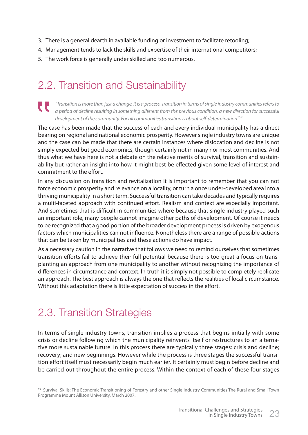- 3. There is a general dearth in available funding or investment to facilitate retooling;
- 4. Management tends to lack the skills and expertise of their international competitors;
- 5. The work force is generally under skilled and too numerous.

# 2.2. Transition and Sustainability

"Transition is more than just a change, it is a process. Transition in terms of single industry communities refers to a period of decline resulting in something different from the previous condition, a new direction for successful development of the community. For all communities transition is about self-determination<sup>15"</sup>.

The case has been made that the success of each and every individual municipality has a direct bearing on regional and national economic prosperity. However single industry towns are unique and the case can be made that there are certain instances where dislocation and decline is not simply expected but good economics, though certainly not in many nor most communities. And thus what we have here is not a debate on the relative merits of survival, transition and sustainability but rather an insight into how it might best be effected given some level of interest and commitment to the effort.

In any discussion on transition and revitalization it is important to remember that you can not force economic prosperity and relevance on a locality, or turn a once under-developed area into a thriving municipality in a short term. Successful transition can take decades and typically requires a multi-faceted approach with continued effort. Realism and context are especially important. And sometimes that is difficult in communities where because that single industry played such an important role, many people cannot imagine other paths of development. Of course it needs to be recognized that a good portion of the broader development process is driven by exogenous factors which municipalities can not influence. Nonetheless there are a range of possible actions that can be taken by municipalities and these actions do have impact.

As a necessary caution in the narrative that follows we need to remind ourselves that sometimes transition efforts fail to achieve their full potential because there is too great a focus on transplanting an approach from one municipality to another without recognizing the importance of differences in circumstance and context. In truth it is simply not possible to completely replicate an approach. The best approach is always the one that reflects the realities of local circumstance. Without this adaptation there is little expectation of success in the effort.

# 2.3. Transition Strategies

In terms of single industry towns, transition implies a process that begins initially with some crisis or decline following which the municipality reinvents itself or restructures to an alternative more sustainable future. In this process there are typically three stages: crisis and decline; recovery; and new beginnings. However while the process is three stages the successful transition effort itself must necessarily begin much earlier. It certainly must begin before decline and be carried out throughout the entire process. Within the context of each of these four stages

<sup>&</sup>lt;sup>15</sup> Survival Skills: The Economic Transitioning of Forestry and other Single Industry Communities The Rural and Small Town Programme Mount Allison University. March 2007.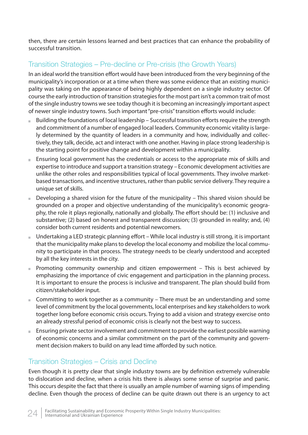then, there are certain lessons learned and best practices that can enhance the probability of successful transition.

## Transition Strategies – Pre-decline or Pre-crisis (the Growth Years)

In an ideal world the transition effort would have been introduced from the very beginning of the municipality's incorporation or at a time when there was some evidence that an existing municipality was taking on the appearance of being highly dependent on a single industry sector. Of course the early introduction of transition strategies for the most part isn't a common trait of most of the single industry towns we see today though it is becoming an increasingly important aspect of newer single industry towns. Such important "pre-crisis" transition efforts would include:

- $B$ uilding the foundations of local leadership Successful transition efforts require the strength and commitment of a number of engaged local leaders. Community economic vitality is largely determined by the quantity of leaders in a community and how, individually and collectively, they talk, decide, act and interact with one another. Having in place strong leadership is the starting point for positive change and development within a municipality.
- Ensuring local government has the credentials or access to the appropriate mix of skills and expertise to introduce and support a transition strategy – Economic development activities are unlike the other roles and responsibilities typical of local governments. They involve marketbased transactions, and incentive structures, rather than public service delivery. They require a unique set of skills.
- Developing a shared vision for the future of the municipality  $-$  This shared vision should be grounded on a proper and objective understanding of the municipality's economic geography, the role it plays regionally, nationally and globally. The effort should be: (1) inclusive and substantive; (2) based on honest and transparent discussion; (3) grounded in reality; and, (4) consider both current residents and potential newcomers.
- Undertaking a LED strategic planning effort While local industry is still strong, it is important that the municipality make plans to develop the local economy and mobilize the local community to participate in that process. The strategy needs to be clearly understood and accepted by all the key interests in the city.
- **Promoting community ownership and citizen empowerment This is best achieved by** emphasizing the importance of civic engagement and participation in the planning process. It is important to ensure the process is inclusive and transparent. The plan should build from citizen/stakeholder input.
- Committing to work together as a community There must be an understanding and some level of commitment by the local governments, local enterprises and key stakeholders to work together long before economic crisis occurs. Trying to add a vision and strategy exercise onto an already stressful period of economic crisis is clearly not the best way to success.
- **Ensuring private sector involvement and commitment to provide the earliest possible warning** of economic concerns and a similar commitment on the part of the community and government decision makers to build on any lead time afforded by such notice.

## Transition Strategies – Crisis and Decline

Even though it is pretty clear that single industry towns are by definition extremely vulnerable to dislocation and decline, when a crisis hits there is always some sense of surprise and panic. This occurs despite the fact that there is usually an ample number of warning signs of impending decline. Even though the process of decline can be quite drawn out there is an urgency to act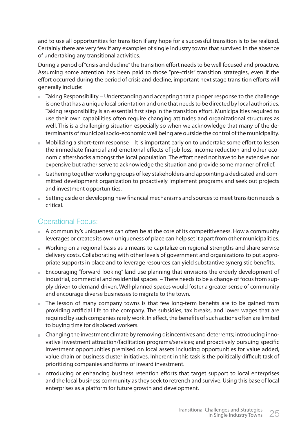and to use all opportunities for transition if any hope for a successful transition is to be realized. Certainly there are very few if any examples of single industry towns that survived in the absence of undertaking any transitional activities.

During a period of "crisis and decline" the transition effort needs to be well focused and proactive. Assuming some attention has been paid to those "pre-crisis" transition strategies, even if the effort occurred during the period of crisis and decline, important next stage transition efforts will generally include:

- Taking Responsibility Understanding and accepting that a proper response to the challenge is one that has a unique local orientation and one that needs to be directed by local authorities. Taking responsibility is an essential first step in the transition effort. Municipalities required to use their own capabilities often require changing attitudes and organizational structures as well. This is a challenging situation especially so when we acknowledge that many of the determinants of municipal socio-economic well being are outside the control of the municipality.
- $\blacksquare$  Mobilizing a short-term response It is important early on to undertake some effort to lessen the immediate financial and emotional effects of job loss, income reduction and other economic aftershocks amongst the local population. The effort need not have to be extensive nor expensive but rather serve to acknowledge the situation and provide some manner of relief.
- Gathering together working groups of key stakeholders and appointing a dedicated and committed development organization to proactively implement programs and seek out projects and investment opportunities.
- Setting aside or developing new financial mechanisms and sources to meet transition needs is critical.

## Operational Focus:

- $A$  community's uniqueness can often be at the core of its competitiveness. How a community leverages or creates its own uniqueness of place can help set it apart from other municipalities.
- Working on a regional basis as a means to capitalize on regional strengths and share service delivery costs. Collaborating with other levels of government and organizations to put appropriate supports in place and to leverage resources can yield substantive synergistic benefits.
- Encouraging "forward looking" land use planning that envisions the orderly development of industrial, commercial and residential spaces. – There needs to be a change of focus from supply driven to demand driven. Well-planned spaces would foster a greater sense of community and encourage diverse businesses to migrate to the town.
- The lesson of many company towns is that few long-term benefits are to be gained from providing artificial life to the company. The subsidies, tax breaks, and lower wages that are required by such companies rarely work. In effect, the benefits of such actions often are limited to buying time for displaced workers.
- $\blacksquare$  Changing the investment climate by removing disincentives and deterrents; introducing innovative investment attraction/facilitation programs/services; and proactively pursuing specific investment opportunities premised on local assets including opportunities for value added, value chain or business cluster initiatives. Inherent in this task is the politically difficult task of prioritizing companies and forms of inward investment.
- ntroducing or enhancing business retention efforts that target support to local enterprises and the local business community as they seek to retrench and survive. Using this base of local enterprises as a platform for future growth and development.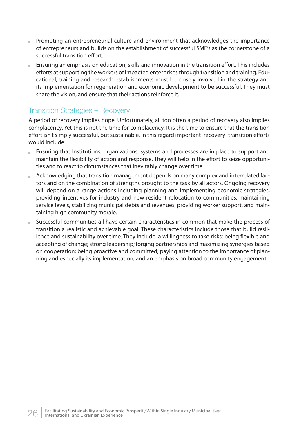- Promoting an entrepreneurial culture and environment that acknowledges the importance of entrepreneurs and builds on the establishment of successful SME's as the cornerstone of a successful transition effort.
- $\Box$  Ensuring an emphasis on education, skills and innovation in the transition effort. This includes efforts at supporting the workers of impacted enterprises through transition and training. Educational, training and research establishments must be closely involved in the strategy and its implementation for regeneration and economic development to be successful. They must share the vision, and ensure that their actions reinforce it.

## Transition Strategies – Recovery

A period of recovery implies hope. Unfortunately, all too often a period of recovery also implies complacency. Yet this is not the time for complacency. It is the time to ensure that the transition effort isn't simply successful, but sustainable. In this regard important "recovery" transition efforts would include:

- Ensuring that Institutions, organizations, systems and processes are in place to support and maintain the flexibility of action and response. They will help in the effort to seize opportunities and to react to circumstances that inevitably change over time.
- Acknowledging that transition management depends on many complex and interrelated factors and on the combination of strengths brought to the task by all actors. Ongoing recovery will depend on a range actions including planning and implementing economic strategies, providing incentives for industry and new resident relocation to communities, maintaining service levels, stabilizing municipal debts and revenues, providing worker support, and maintaining high community morale.
- Successful communities all have certain characteristics in common that make the process of transition a realistic and achievable goal. These characteristics include those that build resilience and sustainability over time. They include: a willingness to take risks; being flexible and accepting of change; strong leadership; forging partnerships and maximizing synergies based on cooperation; being proactive and committed; paying attention to the importance of planning and especially its implementation; and an emphasis on broad community engagement.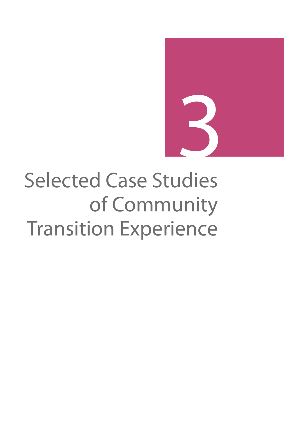

# Selected Case Studies of Community Transition Experience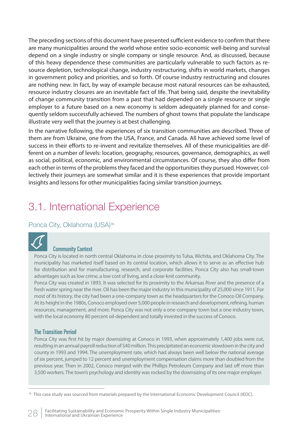The preceding sections of this document have presented sufficient evidence to confirm that there are many municipalities around the world whose entire socio-economic well-being and survival depend on a single industry or single company or single resource. And, as discussed, because of this heavy dependence these communities are particularly vulnerable to such factors as resource depletion, technological change, industry restructuring, shifts in world markets, changes in government policy and priorities, and so forth. Of course industry restructuring and closures are nothing new. In fact, by way of example because most natural resources can be exhausted, resource industry closures are an inevitable fact of life. That being said, despite the inevitability of change community transition from a past that had depended on a single resource or single employer to a future based on a new economy is seldom adequately planned for and consequently seldom successfully achieved. The numbers of ghost towns that populate the landscape illustrate very well that the journey is at best challenging.

In the narrative following, the experiences of six transition communities are described. Three of them are from Ukraine, one from the USA, France, and Canada. All have achieved some level of success in their efforts to re-invent and revitalize themselves. All of these municipalities are different on a number of levels: location, geography, resources, governance, demographics, as well as social, political, economic, and environmental circumstances. Of course, they also differ from each other in terms of the problems they faced and the opportunities they pursued. However, collectively their journeys are somewhat similar and it is these experiences that provide important insights and lessons for other municipalities facing similar transition journeys.

# 3.1. International Experience

### Ponca City, Oklahoma (USA)<sup>16</sup>



#### Community Context

Ponca City is located in north central Oklahoma in close proximity to Tulsa, Wichita, and Oklahoma City. The municipality has marketed itself based on its central location, which allows it to serve as an effective hub for distribution and for manufacturing, research, and corporate facilities. Ponca City also has small-town advantages such as low crime, a low cost of living, and a close-knit community.

Ponca City was created in 1893. It was selected for its proximity to the Arkansas River and the presence of a fresh water spring near the river. Oil has been the major industry in this municipality of 25,000 since 1911. For most of its history, the city had been a one-company town as the headquarters for the Conoco Oil Company. At its height in the 1980s, Conoco employed over 5,000 people in research and development, refining, human resources, management, and more. Ponca City was not only a one-company town but a one-industry town, with the local economy 80 percent oil-dependent and totally invested in the success of Conoco.

#### The Transition Period

Ponca City was first hit by major downsizing at Conoco in 1993, when approximately 1,400 jobs were cut, resulting in an annual payroll reduction of \$40 million. This precipitated an economic slowdown in the city and county in 1993 and 1994. The unemployment rate, which had always been well below the national average of six percent, jumped to 12 percent and unemployment compensation claims more than doubled from the previous year. Then in 2002, Conoco merged with the Phillips Petroleum Company and laid off more than 3,500 workers. The town's psychology and identity was rocked by the downsizing of its one major employer.

<sup>&</sup>lt;sup>16</sup> This case study was sourced from materials prepared by the International Economic Development Council (IEDC).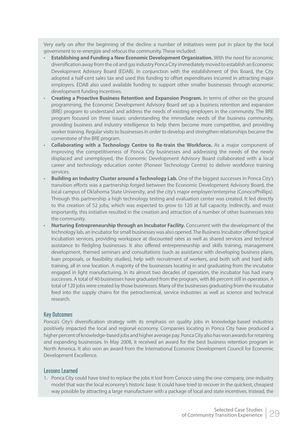Very early on after the beginning of the decline a number of initiatives were put in place by the local government to re-energize and refocus the community. These included:

- **Establishing and Funding a New Economic Development Organization.** With the need for economic diversifi cation away from the oil and gas industry Ponca City immediately moved to establish an Economic Development Advisory Board (EDAB). In conjunction with the establishment of this Board, the City adopted a half-cent sales tax and used this funding to offset expenditures incurred in attracting major employers. EDAB also used available funding to support other smaller businesses through economic development funding incentives.
- **Creating a Proactive Business Retention and Expansion Program.** In terms of other on the ground programming, the Economic Development Advisory Board set up a business retention and expansion (BRE) program to understand and address the needs of existing employers in the community. The BRE program focused on three issues: understanding the immediate needs of the business community, providing business and industry intelligence to help them become more competitive, and providing worker training. Regular visits to businesses in order to develop and strengthen relationships became the cornerstone of the BRE program.
- **Collaborating with a Technology Centre to Re-train the Workforce.** As a major component of improving the competitiveness of Ponca City businesses and addressing the needs of the newly displaced and unemployed, the Economic Development Advisory Board collaborated with a local career and technology education center (Pioneer Technology Centre) to deliver workforce training services.
- **Building an Industry Cluster around a Technology Lab.** One of the biggest successes in Ponca City's transition efforts was a partnership forged between the Economic Development Advisory Board, the local campus of Oklahoma State University, and the city's major employer/enterprise (ConocoPhillips). Through this partnership a high technology testing and evaluation center was created. It led directly to the creation of 52 jobs, which was expected to grow to 120 at full capacity. Indirectly, and most importantly, this initiative resulted in the creation and attraction of a number of other businesses into the community.
- **Nurturing Entrepreneurship through an Incubator Facility.** Concurrent with the development of the technology lab, an incubator for small businesses was also opened. The Business Incubator offered typical incubation services, providing workspace at discounted rates as well as shared services and technical assistance to fledgling businesses. It also offered entrepreneurship and skills training, management development, themed seminars and consultations (such as assistance with developing business plans, loan proposals, or feasibility studies), help with recruitment of workers, and both soft and hard skills training, all in one location. A majority of the businesses locating in and graduating from the incubator engaged in light manufacturing. In its almost two decades of operation, the incubator has had many successes. A total of 40 businesses have graduated from the program, with 86 percent still in operation. A total of 120 jobs were created by those businesses. Many of the businesses graduating from the incubator feed into the supply chains for the petrochemical, service industries as well as science and technical research.

#### Key Outcomes

Ponca's City's diversification strategy with its emphasis on quality jobs in knowledge-based industries positively impacted the local and regional economy. Companies locating in Ponca City have produced a higher percent of knowledge-based jobs and higher average pay. Ponca City also has won awards for retaining and expanding businesses. In May 2008, it received an award for the best business retention program in North America. It also won an award from the International Economic Development Council for Economic Development Excellence.

#### Lessons Learned

1. Ponca City could have tried to replace the jobs it lost from Conoco using the one-company, one-industry model that was the local economy's historic base. It could have tried to recover in the quickest, cheapest way possible by attracting a large manufacturer with a package of local and state incentives. Instead, the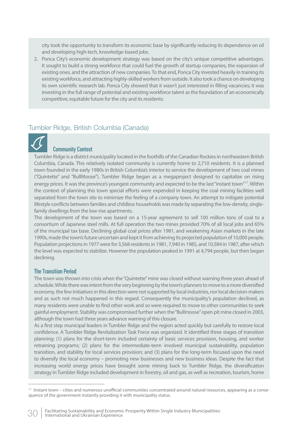city took the opportunity to transform its economic base by significantly reducing its dependence on oil and developing high-tech, knowledge-based jobs.

2. Ponca City's economic development strategy was based on the city's unique competitive advantages. It sought to build a strong workforce that could fuel the growth of startup companies, the expansion of existing ones, and the attraction of new companies. To that end, Ponca City invested heavily in training its existing workforce, and attracting highly-skilled workers from outside. It also took a chance on developing its own scientific research lab. Ponca City showed that it wasn't just interested in filling vacancies; it was investing in the full range of potential and existing workforce talent as the foundation of an economically competitive, equitable future for the city and its residents.

## Tumbler Ridge, British Columbia (Canada)



#### Community Context

Tumbler Ridge is a district municipality located in the foothills of the Canadian Rockies in northeastern British Columbia, Canada. This relatively isolated community is currently home to 2,710 residents. It is a planned town founded in the early 1980s in British Columbia's interior to service the development of two coal mines ("Quintette" and "BullMoose"). Tumbler Ridge began as a megaproject designed to capitalize on rising energy prices. It was the province's youngest community and expected to be the last "instant town"<sup>17</sup>. Within the context of planning this town special efforts were expended in keeping the coal mining facilities well separated from the town site to minimize the feeling of a company town. An attempt to mitigate potential lifestyle conflicts between families and childless households was made by separating the low-density, singlefamily dwellings from the low-rise apartments.

The development of the town was based on a 15-year agreement to sell 100 million tons of coal to a consortium of Japanese steel mills. At full operation the two mines provided 70% of all local jobs and 65% of the municipal tax base. Declining global coal prices after 1981, and weakening Asian markets in the late 1990s, made the town's future uncertain and kept it from achieving its projected population of 10,000 people. Population projections in 1977 were for 3,568 residents in 1981, 7,940 in 1985, and 10,584 in 1987, after which the level was expected to stabilize. However the population peaked in 1991 at 4,794 people, but then began declining.

#### The Transition Period

The town was thrown into crisis when the "Quintette" mine was closed without warning three years ahead of schedule. While there was intent from the very beginning by the town's planners to move to a more diversified economy, the few initiatives in this direction were not supported by local industries, nor local decision-makers and as such not much happened in this regard. Consequently the municipality's population declined, as many residents were unable to find other work and so were required to move to other communities to seek gainful employment. Stability was compromised further when the "Bullmoose" open pit mine closed in 2003, although the town had three years advance warning of this closure.

As a first step municipal leaders in Tumbler Ridge and the region acted quickly but carefully to restore local confidence. A Tumbler Ridge Revitalization Task Force was organized. It identified three stages of transition planning: (1) plans for the short-term included certainty of basic services provision, housing, and worker retraining programs; (2) plans for the intermediate-term involved municipal sustainability, population transition, and stability for local services provision; and (3) plans for the long-term focused upon the need to diversify the local economy – promoting new businesses and new business ideas. Despite the fact that increasing world energy prices have brought some mining back to Tumbler Ridge, the diversification strategy in Tumbler Ridge included development in forestry, oil and gas, as well as recreation, tourism, home

 $17$  Instant town – cities and numerous unofficial communities concentrated around natural resources, appearing as a consequence of the government instantly providing it with municipality status.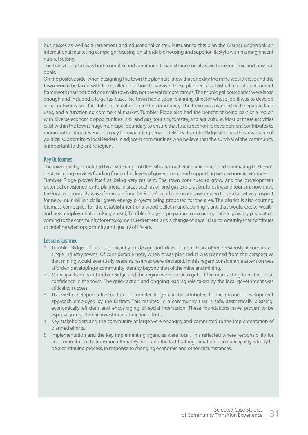businesses as well as a retirement and educational center. Pursuant to this plan the District undertook an international marketing campaign focusing on affordable housing and superior lifestyle within a magnificent natural setting.

The transition plan was both complex and ambitious. It had strong social as well as economic and physical goals.

On the positive side, when designing the town the planners knew that one day the mine would close and the town would be faced with the challenge of how to survive. These planners established a local government framework that included one main town site, not several remote camps. The municipal boundaries were large enough and included a large tax base. The town had a social planning director whose job it was to develop social networks and facilitate social cohesion in the community. The town was planned with separate land uses, and a functioning commercial market. Tumbler Ridge also had the benefit of being part of a region with diverse economic opportunities in oil and gas, tourism, forestry, and agriculture. Most of these activities exist within the town's huge municipal boundary to ensure that future economic development contributes to municipal taxation revenues to pay for expanding service delivery. Tumbler Ridge also has the advantage of political support from local leaders in adjacent communities who believe that the survival of the community is important to the entire region.

#### Key Outcomes

The town quickly benefitted by a wide range of diversification activities which included eliminating the town's debt, securing services funding from other levels of government, and supporting new economic ventures. Tumbler Ridge proved itself as being very resilient. The town continues to grow, and the development potential envisioned by its planners, in areas such as oil and gas exploration, forestry, and tourism, now drive the local economy. By way of example Tumbler Ridge's wind resources have proven to be a lucrative prospect for new, multi-billion dollar green energy projects being proposed for the area. The district is also courting biomass companies for the establishment of a wood-pellet manufacturing plant that would create wealth and new employment. Looking ahead, Tumbler Ridge is preparing to accommodate a growing population coming to the community for employment, retirement, and a change of pace. It is a community that continues to redefine what opportunity and quality of life are.

#### Lessons Learned

- 1. Tumbler Ridge differed significantly in design and development than other previously incorporated single industry towns. Of considerable note, when it was planned, it was planned from the perspective that mining would eventually cease as reserves were depleted. In this regard considerable attention was afforded developing a community identity beyond that of the mine and mining.
- 2. Municipal leaders in Tumbler Ridge and the region were quick to get off the mark acting to restore local confidence in the town. The quick action and ongoing leading role taken by the local government was critical to success.
- 3. The well-developed infrastructure of Tumbler Ridge can be attributed to the planned development approach employed by the District. This resulted in a community that is safe, aesthetically pleasing, economically efficient and encouraging of social interaction. These foundations have proven to be especially important in investment attraction efforts.
- 4. Key stakeholders and the community at large were engaged and committed to the implementation of planned efforts.
- 5. Implementation and the key implementing agencies were local. This reflected where responsibility for and commitment to transition ultimately lies – and the fact that regeneration in a municipality is likely to be a continuing process, in response to changing economic and other circumstances.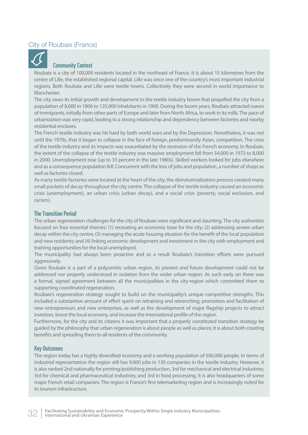## City of Roubaix (France)



#### Community Context

Roubaix is a city of 100,000 residents located in the northeast of France. It is about 15 kilometres from the centre of Lille, the established regional capital. Lille was once one of the country's most important industrial regions. Both Roubaix and Lille were textile towns. Collectively they were second in world importance to Manchester.

The city owes its initial growth and development to the textile industry boom that propelled the city from a population of 8,000 in 1806 to 125,000 inhabitants in 1900. During the boom years, Roubaix attracted waves of immigrants, initially from other parts of Europe and later from North Africa, to work in its mills. The pace of urbanization was very rapid, leading to a strong relationship and dependency between factories and nearby residential enclaves.

The French textile industry was hit hard by both world wars and by the Depression. Nonetheless, it was not until the 1970s, that it began to collapse in the face of foreign, predominantly Asian, competition. The crisis of the textile industry and its impacts was exacerbated by the recession of the French economy. In Roubaix, the extent of the collapse of the textile industry was massive: employment fell from 54,000 in 1973 to 8,000 in 2000. Unemployment rose (up to 33 percent in the late 1980s). Skilled workers looked for jobs elsewhere and as a consequence population fell. Concurrent with the loss of jobs and population, a number of shops as well as factories closed.

As many textile factories were located at the heart of the city, the deindustrialization process created many small pockets of decay throughout the city centre. The collapse of the textile industry caused an economic crisis (unemployment), an urban crisis (urban decay), and a social crisis (poverty, social exclusion, and racism).

#### The Transition Period

The urban regeneration challenges for the city of Roubaix were significant and daunting. The city authorities focused on four essential themes: (1) recreating an economic base for the city; (2) addressing severe urban decay within the city centre; (3) managing the acute housing situation for the benefit of the local population and new residents; and (4) linking economic development and investment in the city with employment and training opportunities for the local unemployed.

The municipality had always been proactive and as a result Roubaix's transition efforts were pursued aggressively.

Given Roubaix is a part of a polycentric urban region, its present and future development could not be addressed nor properly understood in isolation from the wider urban region. As such early on there was a formal, signed agreement between all the municipalities in the city-region which committed them to supporting coordinated regeneration.

Roubaix's regeneration strategy sought to build on the municipality's unique competitive strengths. This included a substantive amount of effort spent on retraining and retrenching; promotion and facilitation of new entrepreneurs and new enterprises, as well as the development of major flagship projects to attract investors, boost the local economy, and increase the international profile of the region.

Furthermore, for the city and its citizens it was important that a properly constituted transition strategy be guided by the philosophy that urban regeneration is about people as well as places; it is about both creating benefits and spreading them to all residents of the community.

#### Key Outcomes

The region today has a highly diversified economy and a working population of 500,000 people. In terms of industrial representation the region still has 9,000 jobs in 130 companies in the textile industry. However, it is also ranked 2nd nationally for printing/publishing production, 3rd for mechanical and electrical industries; 3rd for chemical and pharmaceutical industries; and 3rd in food processing. It is also headquarters of some major French retail companies. The region is France's first telemarketing region and is increasingly noted for its tourism infrastructure.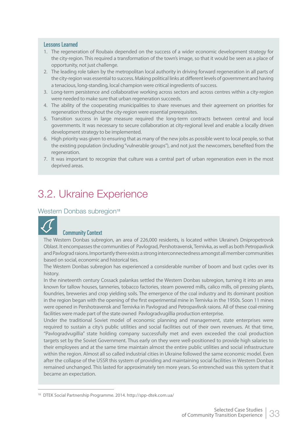#### Lessons Learned

- 1. The regeneration of Roubaix depended on the success of a wider economic development strategy for the city-region. This required a transformation of the town's image, so that it would be seen as a place of opportunity, not just challenge.
- 2. The leading role taken by the metropolitan local authority in driving forward regeneration in all parts of the city-region was essential to success. Making political links at different levels of government and having a tenacious, long-standing, local champion were critical ingredients of success.
- 3. Long-term persistence and collaborative working across sectors and across centres within a city-region were needed to make sure that urban regeneration succeeds.
- 4. The ability of the cooperating municipalities to share revenues and their agreement on priorities for regeneration throughout the city-region were essential prerequisites.
- 5. Transition success in large measure required the long-term contracts between central and local governments. It was necessary to secure collaboration at city-regional level and enable a locally driven development strategy to be implemented.
- 6. High priority was given to ensuring that as many of the new jobs as possible went to local people, so that the existing population (including "vulnerable groups"), and not just the newcomers, benefited from the regeneration.
- 7. It was important to recognize that culture was a central part of urban regeneration even in the most deprived areas.

# 3.2. Ukraine Experience

#### Western Donbas subregion<sup>18</sup>



#### Community Context

The Western Donbas subregion, an area of 226,000 residents, is located within Ukraine's Dnipropetrovsk Oblast. It encompasses the communities of Pavlograd, Pershotravensk, Ternivka, as well as both Petropavlivsk and Pavlograd raions. Importantly there exists a strong interconnectedness amongst all member communities based on social, economic and historical ties.

The Western Donbas subregion has experienced a considerable number of boom and bust cycles over its history.

In the nineteenth century Cossack palankas settled the Western Donbas subregion, turning it into an area known for tallow houses, tanneries, tobacco factories, steam powered mills, calico mills, oil pressing plants, foundries, breweries and crop yielding soils. The emergence of the coal industry and its dominant position in the region began with the opening of the first experimental mine in Ternivka in the 1950s. Soon 11 mines were opened in Pershotravensk and Ternivka in Pavlograd and Petropavlivsk raions. All of these coal-mining facilities were made part of the state owned Pavlogradvugillia production enterprise.

Under the traditional Soviet model of economic planning and management, state enterprises were required to sustain a city's public utilities and social facilities out of their own revenues. At that time, "Pavlogradvugillia" state holding company successfully met and even exceeded the coal production targets set by the Soviet Government. Thus early on they were well-positioned to provide high salaries to their employees and at the same time maintain almost the entire public utilities and social infrastructure within the region. Almost all so called industrial cities in Ukraine followed the same economic model. Even after the collapse of the USSR this system of providing and maintaining social facilities in Western Donbas remained unchanged. This lasted for approximately ten more years. So entrenched was this system that it became an expectation.

<sup>18</sup> DTEK Social Partnership Programme. 2014. http://spp-dtek.com.ua/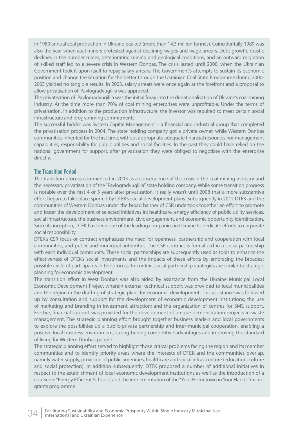In 1989 annual coal production in Ukraine peaked (more than 14.3 million tonnes). Coincidentally 1989 was also the year when coal miners protested against declining wages and wage arrears. Debt growth, drastic declines in the number mines, deteriorating mining and geological conditions, and an outward migration of skilled staff led to a severe crisis in Western Donbas. The crisis lasted until 2000, when the Ukrainian Government took it upon itself to repay salary arrears. The Government's attempts to sustain its economic position and change the situation for the better through the Ukrainian Coal State Programme during 2000- 2003 yielded no tangible results. In 2003, salary arrears were once again at the forefront and a proposal to allow privatisation of Pavlogradvugillia was approved.

The privatisation of Pavlogradvugillia was the initial foray into the denationalisation of Ukraine's coal mining industry. At the time more than 70% of coal mining enterprises were unprofitable. Under the terms of privatisation, in addition to the production infrastructure, the investor was required to meet certain social infrastructure and programming commitments.

The successful bidder was System Capital Management – a financial and industrial group that completed the privatisation process in 2004. The state holding company got a private owner, while Western Donbas communities inherited for the first time, without appropriate adequate financial resources nor management capabilities, responsibility for public utilities and social facilities. In the past they could have relied on the national government for support, after privatisation they were obliged to negotiate with the enterprise directly.

#### The Transition Period

The transition process commenced in 2003 as a consequence of the crisis in the coal mining industry and the necessary privatization of the "Pavlogradvugillia" state holding company. While some transition progress is notable over the first 4 or 5 years after privatization, it really wasn't until 2008 that a more substantive effort began to take place spurred by DTEK's social development plans. Subsequently in 2012 DTEK and the communities of Western Donbas under the broad banner of CSR undertook together an effort to promote and foster the development of selected initiatives in: healthcare, energy efficiency of public utility services, social infrastructure, the business environment, civic engagement, and economic opportunity identification. Since its inception, DTEK has been one of the leading companies in Ukraine to dedicate efforts to corporate social responsibility.

DTEK's CSR focus or contract emphasizes the need for openness, partnership and cooperation with local communities, and public and municipal authorities. The CSR contract is formalized in a social partnership with each individual community. These social partnerships are subsequently used as tools to enhance the effectiveness of DTEK's social investments and the impacts of these efforts by embracing the broadest possible circle of participants in the process. In context social partnership strategies are similar to strategic planning for economic development.

The transition effort in West Donbas was also aided by assistance from the Ukraine Municipal Local Economic Development Project wherein external technical support was provided to local municipalities and the region in the drafting of strategic plans for economic development. This assistance was followed up by consultation and support for the development of economic development institutions; the use of marketing and branding in investment attraction; and the organization of centres for SME support. Further, financial support was provided for the development of unique demonstration projects in waste management. The strategic planning effort brought together business leaders and local governments to explore the possibilities up a public-private partnership and inter-municipal cooperation, enabling a positive local business environment, strengthening competitive advantages and improving the standard of living for Western Donbas people.

The strategic planning effort served to highlight those critical problems facing the region and its member communities and to identify priority areas where the interests of DTEK and the communities overlap, namely water supply, provision of public amenities, healthcare and social infrastructure (education, culture and social protection). In addition subsequently, DTEK proposed a number of additional initiatives in respect to the establishment of local economic development institutions as well as the introduction of a course on "Energy Efficient Schools" and the implementation of the "Your Hometown in Your Hands" microgrants programme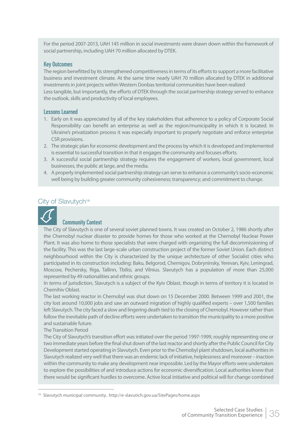For the period 2007-2013, UAH 145 million in social investments were drawn down within the framework of social partnership, including UAH 70 million allocated by DTEK.

#### Key Outcomes

The region benefitted by its strengthened competitiveness in terms of its efforts to support a more facilitative business and investment climate. At the same time nearly UAH 70 million allocated by DTEK in additional investments in joint projects within Western Donbas territorial communities have been realized Less tangible, but importantly, the efforts of DTEK through the social partnership strategy served to enhance the outlook, skills and productivity of local employees.

#### Lessons Learned

- 1. Early on it was appreciated by all of the key stakeholders that adherence to a policy of Corporate Social Responsibility can benefit an enterprise as well as the region/municipality in which it is located. In Ukraine's privatization process it was especially important to properly negotiate and enforce enterprise CSR provisions.
- 2. The strategic plan for economic development and the process by which it is developed and implemented is essential to successful transition in that it engages the community and focuses efforts.
- 3. A successful social partnership strategy requires the engagement of workers, local government, local businesses, the public at large, and the media.
- 4. A properly implemented social partnership strategy can serve to enhance a community's socio-economic well being by building greater community cohesiveness; transparency; and commitment to change.

## City of Slavutych<sup>19</sup>



#### Community Context

The City of Slavutych is one of several soviet planned towns. It was created on October 2, 1986 shortly after the Chernobyl nuclear disaster to provide homes for those who worked at the Chernobyl Nuclear Power Plant. It was also home to those specialists that were charged with organizing the full decommissioning of the facility. This was the last large-scale urban construction project of the former Soviet Union. Each distinct neighbourhood within the City is characterized by the unique architecture of other Socialist cities who participated in its construction including: Baku, Belgorod, Chernigov, Dobryninsky, Yerevan, Kyiv, Leningrad, Moscow, Pechersky, Riga, Tallinn, Tbilisi, and Vilnius. Slavutych has a population of more than 25,000 represented by 49 nationalities and ethnic groups.

In terms of jurisdiction, Slavutych is a subject of the Kyiv Oblast, though in terms of territory it is located in Chernihiv Oblast.

The last working reactor in Chernobyl was shut down on 15 December 2000. Between 1999 and 2001, the city lost around 10,000 jobs and saw an outward migration of highly qualified experts – over 1,500 families left Slavutych. The city faced a slow and lingering death tied to the closing of Chernobyl. However rather than follow the inevitable path of decline efforts were undertaken to transition the municipality to a more positive and sustainable future.

#### The Transition Period

The City of Slavutych's transition effort was initiated over the period 1997-1999, roughly representing one or two immediate years before the final shut down of the last reactor and shortly after the Public Council for City Development started operating in Slavutych. Even prior to the Chernobyl plant shutdown, local authorities in Slavutych realized very well that there was an endemic lack of initiative, helplessness and moreover – inaction within the community to make any development near impossible. Led by the Mayor efforts were undertaken to explore the possibilities of and introduce actions for economic diversification. Local authorities knew that there would be significant hurdles to overcome. Active local initiative and political will for change combined

<sup>19</sup> Slavutych municipal community.. http://e-slavutich.gov.ua/SitePages/home.aspx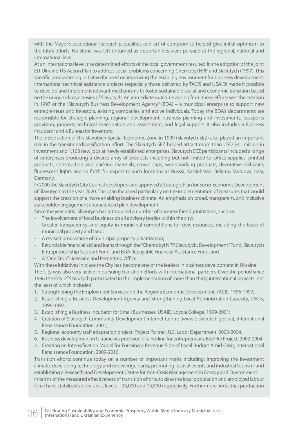with the Mayor's exceptional leadership qualities and art of compromise helped give initial optimism to the City's efforts. No stone was left unturned as opportunities were pursued at the regional, national and international level.

At an international level, the determined efforts of the local government resulted in the adoption of the joint EU-Ukraine-US Action Plan to address social problems concerning Chernobyl NPP and Slavutych (1997). This specific programming initiative focused on improving the enabling environment for business development. International technical assistance projects (especially those delivered by ТАСІS and USAID) made it possible to develop and implement relevant mechanisms to foster sustainable social and economic transition based on the unique idiosyncrasies of Slavutych. An immediate outcome arising from these efforts was the creation in 1997 of the "Slavutych Business Development Agency" (BDA) – a municipal enterprise to support new entrepreneurs and investors, existing companies, and active individuals. Today the BDA's departments are responsible for strategic planning, regional development, business planning and investments, passports provision, property technical examination and assessment, and legal support. It also includes a Business Incubator and a Bureau for Inventors.

The introduction of the Slavutych Special Economic Zone in 1999 (Slavutych SEZ) also played an important role in the transition/diversification effort. The Slavutych SEZ helped attract more than USD \$41 million in investment and 1,103 new jobs at newly established enterprises. Slavutych SEZ participants included a range of enterprises producing a diverse array of products including but not limited to: office supplies, printed products, construction and packing materials, crown caps, woodworking products, decorative dishware, fluorescent lights and so forth for export to such locations as Russia, Kazakhstan, Belarus, Moldova, Italy, Germany.

In 2000 the Slavutych City Council developed and approved a Strategic Plan for Socio-Economic Development of Slavutych to the year 2020. This plan focussed particularly on the implementation of measures that would support the creation of a more enabling business climate. An emphasis on broad, transparent, and inclusive stakeholder engagement characterized plan development.

Since the year 2000, Slavutych has introduced a number of business friendly initiatives, such as:

- The involvement of local business on all advisory bodies within the city;
- Greater transparency and equity in municipal competitions for civic resources, including the lease of municipal property and land;
- A revised programme of municipal property privatization;
- Refundable financial aid and loans through the "Chernobyl NPP. Slavutych. Development" Fund, Slavutych Entrepreneurship Support Fund, and BDA Repayable Financial Assistance Fund; and
- A "One Stop" Licensing and Permitting Office.

With these initiatives in place the City has become one of the leaders in business development in Ukraine. The City was also very active in pursuing transition efforts with international partners. Over the period since 1996 the City of Slavutych participated in the implementation of more than thirty international projects, not the least of which included:

- 1. Strengthening the Employment Service and the Region's Economic Development, TACIS, 1996-1997;
- 2. Establishing a Business Development Agency and Strengthening Local Administration Capacity, ТACIS, 1996-1997;
- 3. Establishing a Business Incubator for Small Businesses, USAID, Loyola College, 1999-2001;
- 4. Creation of Slavutych Community Development Internet Centre (www.e-slavutich.gov.ua), International Renaissance Foundation, 2001;
- 5. Regional economy staff adaptation project, Project Partner, U.S. Labor Department, 2003-2004.
- 6. Business development in Ukraine via provision of a hotline for entrepreneurs, BIZPRO Project, 2002-2004.
- 7. Creating an Intensification Model for Forming a Revenue Side of Local Budget Amid Crisis, International Renaissance Foundation, 2009-2010.

Transition efforts continue today on a number of important fronts including: improving the investment climate, developing technology and knowledge parks; promoting festival events and industrial tourism; and establishing a Research and Development Centre for Anti-Crisis Management in Energy and Environment. In terms of the measured effectiveness of transition efforts, to date the local population and employed labour force have stabilized at pre-crisis levels – 25,000 and 13,500 respectively. Furthermore, industrial production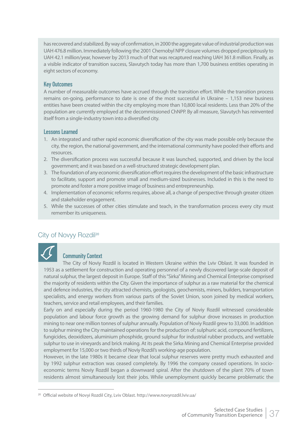has recovered and stabilized. By way of confirmation, in 2000 the aggregate value of industrial production was UAH 476.8 million. Immediately following the 2001 Chernobyl NPP closure volumes dropped precipitously to UAH 42.1 million/year, however by 2013 much of that was recaptured reaching UAH 361.8 million. Finally, as a visible indicator of transition success, Slavutych today has more than 1,700 business entities operating in eight sectors of economy.

#### Key Outcomes

A number of measurable outcomes have accrued through the transition effort. While the transition process remains on-going, performance to date is one of the most successful in Ukraine – 1,153 new business entities have been created within the city employing more than 10,800 local residents. Less than 20% of the population are currently employed at the decommissioned ChNPP. By all measure, Slavutych has reinvented itself from a single-industry town into a diversified city.

#### Lessons Learned

- 1. An integrated and rather rapid economic diversification of the city was made possible only because the city, the region, the national government, and the international community have pooled their efforts and resources.
- 2. The diversification process was successful because it was launched, supported, and driven by the local government; and it was based on a well-structured strategic development plan.
- 3. The foundation of any economic diversification effort requires the development of the basic infrastructure to facilitate, support and promote small and medium-sized businesses. Included in this is the need to promote and foster a more positive image of business and entrepreneurship.
- 4. Implementation of economic reforms requires, above all, a change of perspective through greater citizen and stakeholder engagement.
- 5. While the successes of other cities stimulate and teach, in the transformation process every city must remember its uniqueness.

## City of Novyy Rozdil<sup>20</sup>



#### Community Context

The City of Noviy Rozdil is located in Western Ukraine within the Lviv Oblast. It was founded in 1953 as a settlement for construction and operating personnel of a newly discovered large-scale deposit of natural sulphur, the largest deposit in Europe. Staff of this "Sirka" Mining and Chemical Enterprise comprised the majority of residents within the City. Given the importance of sulphur as a raw material for the chemical and defence industries, the city attracted chemists, geologists, geochemists, miners, builders, transportation specialists, and energy workers from various parts of the Soviet Union, soon joined by medical workers, teachers, service and retail employees, and their families.

Early on and especially during the period 1960-1980 the City of Noviy Rozdil witnessed considerable population and labour force growth as the growing demand for sulphur drove increases in production mining to near one million tonnes of sulphur annually. Population of Noviy Rozdil grew to 33,000. In addition to sulphur mining the City maintained operations for the production of: sulphuric acid, compound fertilizers, fungicides, deoxidizers, aluminium phosphide, ground sulphur for industrial rubber products, and wettable sulphur to use in vineyards and brick making. At its peak the Sirka Mining and Chemical Enterprise provided employment for 15,000 or two thirds of Noviy Rozdil's working-age population.

However, in the late 1980s it became clear that local sulphur reserves were pretty much exhausted and by 1992 sulphur extraction was ceased completely. By 1996 the company ceased operations. In socioeconomic terms Noviy Rozdil began a downward spiral. After the shutdown of the plant 70% of town residents almost simultaneously lost their jobs. While unemployment quickly became problematic the

<sup>&</sup>lt;sup>20</sup> Official website of Novyi Rozdil City, Lviv Oblast. http://www.novyrozdil.lviv.ua/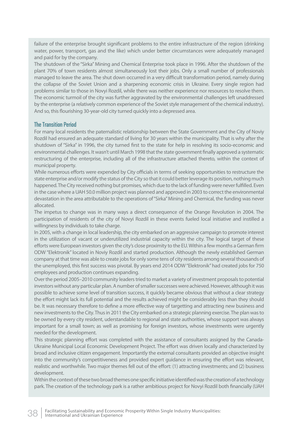failure of the enterprise brought significant problems to the entire infrastructure of the region (drinking water, power, transport, gas and the like) which under better circumstances were adequately managed and paid for by the company.

The shutdown of the "Sirka" Mining and Chemical Enterprise took place in 1996. After the shutdown of the plant 70% of town residents almost simultaneously lost their jobs. Only a small number of professionals managed to leave the area. The shut down occurred in a very difficult transformation period, namely during the collapse of the Soviet Union and a sharpening economic crisis in Ukraine. Every single region had problems similar to those in Novyi Rozdil, while there was neither experience nor resources to resolve them. The economic turmoil of the city was further aggravated by the environmental challenges left unaddressed by the enterprise (a relatively common experience of the Soviet style management of the chemical industry). And so, this flourishing 30-year-old city turned quickly into a depressed area.

#### The Transition Period

For many local residents the paternalistic relationship between the State Government and the City of Noviy Rozdil had ensured an adequate standard of living for 30 years within the municipality. That is why after the shutdown of "Sirka" in 1996, the city turned first to the state for help in resolving its socio-economic and environmental challenges. It wasn't until March 1998 that the state government finally approved a systematic restructuring of the enterprise, including all of the infrastructure attached thereto, within the context of municipal property.

While numerous efforts were expended by City officials in terms of seeking opportunities to restructure the state enterprise and/or modify the status of the City so that it could better leverage its position, nothing much happened. The City received nothing but promises, which due to the lack of funding were never fulfilled. Even in the case where a UAH 50.0 million project was planned and approved in 2003 to correct the environmental devastation in the area attributable to the operations of "Sirka" Mining and Chemical, the funding was never allocated.

The impetus to change was in many ways a direct consequence of the Orange Revolution in 2004. The participation of residents of the city of Novyi Rozdil in these events fueled local initiative and instilled a willingness by individuals to take charge.

In 2005, with a change in local leadership, the city embarked on an aggressive campaign to promote interest in the utilization of vacant or underutilized industrial capacity within the city. The logical target of these efforts were European investors given the city's close proximity to the EU. Within a few months a German firm ODW "Elektronik" located in Noviy Rozdil and started production. Although the newly established German company at that time was able to create jobs for only some tens of city residents among several thousands of the unemployed, this first success was pivotal. By years end 2014 ODW "Elektronik" had created jobs for 750 employees and production continues expanding.

Over the period 2005–2010 community leaders tried to market a variety of investment proposals to potential investors without any particular plan. A number of smaller successes were achieved. However, although it was possible to achieve some level of transition success, it quickly became obvious that without a clear strategy the effort might lack its full potential and the results achieved might be considerably less than they should be. It was necessary therefore to define a more effective way of targetting and attracting new business and new investments to the City. Thus in 2011 the City embarked on a strategic planning exercise. The plan was to be owned by every city resident, uderstandable to regional and state authorities, whose support was always important for a small town; as well as promising for foreign investors, whose investments were urgently needed for the development.

This strategic planning effort was completed with the assistance of consultants assigned by the Canada-Ukraine Municipal Local Economic Development Project. The effort was driven locally and characterized by broad and inclusive citizen engagement. Importantly the external consultants provided an objective insight into the community's competitiveness and provided expert quidance in ensuring the effort was relevant, realistic and worthwhile. Two major themes fell out of the effort: (1) attracting investments; and (2) business development.

Within the context of these two broad themes one specific initiative identified was the creation of a technology park. The creation of the technology park is a rather ambitious project for Novyi Rozdil both financially (UAH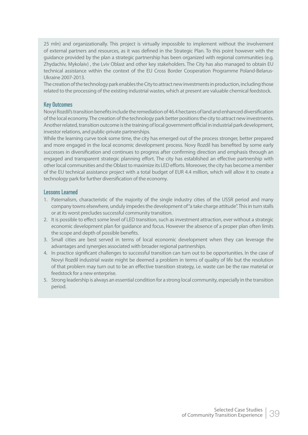25 mln) and organizationally. This project is virtually impossible to implement without the involvement of external partners and resources, as it was defined in the Strategic Plan. To this point however with the guidance provided by the plan a strategic partnership has been organized with regional communities (e.g. Zhydachiv, Mykolaiv) , the Lviv Oblast and other key stakeholders. The City has also managed to obtain EU technical assistance within the context of the EU Cross Border Cooperation Programme Poland-Belarus-Ukraine 2007-2013.

The creation of the technology park enables the City to attract new investments in production, including those related to the processing of the existing industrial wastes, which at present are valuable chemical feedstock.

#### Key Outcomes

Novyi Rozdil's transition benefits include the remediation of 46.4 hectares of land and enhanced diversification of the local economy. The creation of the technology park better positions the city to attract new investments. Another related, transition outcome is the training of local government official in industrial park development, investor relations, and public-private partnerships.

While the learning curve took some time, the city has emerged out of the process stronger, better prepared and more engaged in the local economic development process. Novy Rozdil has benefited by some early successes in diversification and continues to progress after confirming direction and emphasis through an engaged and transparent strategic planning effort. The city has established an effective partnership with other local communities and the Oblast to maximize its LED efforts. Moreover, the city has become a member of the EU technical assistance project with a total budget of EUR 4.4 million, which will allow it to create a technology park for further diversification of the economy.

#### Lessons Learned

- 1. Paternalism, characteristic of the majority of the single industry cities of the USSR period and many company towns elsewhere, unduly impedes the development of "a take charge attitude". This in turn stalls or at its worst precludes successful community transition.
- 2. It is possible to effect some level of LED transition, such as investment attraction, ever without a strategic economic development plan for guidance and focus. However the absence of a proper plan often limits the scope and depth of possible benefits.
- 3. Small cities are best served in terms of local economic development when they can leverage the advantages and synergies associated with broader regional partnerships.
- 4. In practice significant challenges to successful transition can turn out to be opportunities. In the case of Novyi Rozdil industrial waste might be deemed a problem in terms of quality of life but the resolution of that problem may turn out to be an effective transition strategy, i.e. waste can be the raw material or feedstock for a new enterprise.
- 5. Strong leadership is always an essential condition for a strong local community, especially in the transition period.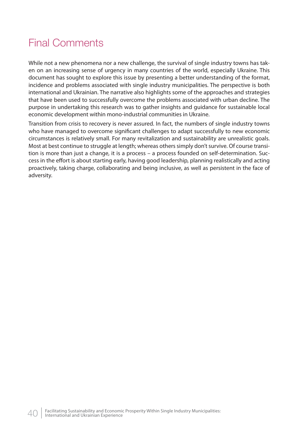# Final Comments

While not a new phenomena nor a new challenge, the survival of single industry towns has taken on an increasing sense of urgency in many countries of the world, especially Ukraine. This document has sought to explore this issue by presenting a better understanding of the format, incidence and problems associated with single industry municipalities. The perspective is both international and Ukrainian. The narrative also highlights some of the approaches and strategies that have been used to successfully overcome the problems associated with urban decline. The purpose in undertaking this research was to gather insights and guidance for sustainable local economic development within mono-industrial communities in Ukraine.

Transition from crisis to recovery is never assured. In fact, the numbers of single industry towns who have managed to overcome significant challenges to adapt successfully to new economic circumstances is relatively small. For many revitalization and sustainability are unrealistic goals. Most at best continue to struggle at length; whereas others simply don't survive. Of course transition is more than just a change, it is a process – a process founded on self-determination. Success in the effort is about starting early, having good leadership, planning realistically and acting proactively, taking charge, collaborating and being inclusive, as well as persistent in the face of adversity.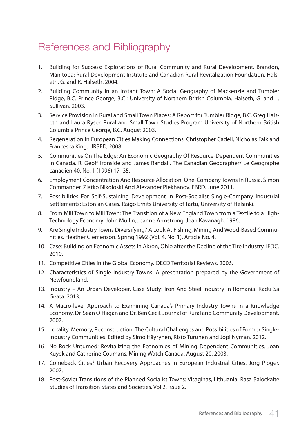# References and Bibliography

- 1. Building for Success: Explorations of Rural Community and Rural Development. Brandon, Manitoba: Rural Development Institute and Canadian Rural Revitalization Foundation. Halseth, G. and R. Halseth. 2004.
- 2. Building Community in an Instant Town: A Social Geography of Mackenzie and Tumbler Ridge, B.C. Prince George, B.C.: University of Northern British Columbia. Halseth, G. and L. Sullivan. 2003.
- 3. Service Provision in Rural and Small Town Places: A Report for Tumbler Ridge, B.C. Greg Halseth and Laura Ryser. Rural and Small Town Studies Program University of Northern British Columbia Prince George, B.C. August 2003.
- 4. Regeneration In European Cities Making Connections. Christopher Cadell, Nicholas Falk and Francesca King. URBED, 2008.
- 5. Communities On The Edge: An Economic Geography Of Resource-Dependent Communities In Canada. R. Geoff Ironside and James Randall. The Canadian Geographer/ Le Geographe canadien 40, No. 1 (1996) 17–35.
- 6. Employment Concentration And Resource Allocation: One-Company Towns In Russia. Simon Commander, Zlatko Nikoloski And Alexander Plekhanov. EBRD. June 2011.
- 7. Possibilities For Self-Sustaining Development In Post-Socialist Single-Company Industrial Settlements: Estonian Cases. Raigo Ernits University of Tartu, University of Helsinki.
- 8. From Mill Town to Mill Town: The Transition of a New England Town from a Textile to a High-Technology Economy. John Mullin, Jeanne Armstrong, Jean Kavanagh. 1986.
- 9. Are Single Industry Towns Diversifying? A Look At Fishing, Mining And Wood-Based Communities. Heather Clemenson. Spring 1992 (Vol. 4, No. 1). Article No. 4.
- 10. Case: Building on Economic Assets in Akron, Ohio after the Decline of the Tire Industry. IEDC. 2010.
- 11. Competitive Cities in the Global Economy. OECD Territorial Reviews. 2006.
- 12. Characteristics of Single Industry Towns. A presentation prepared by the Government of Newfoundland.
- 13. Industry An Urban Developer. Case Study: Iron And Steel Industry In Romania. Radu Sa Geata. 2013.
- 14. A Macro-level Approach to Examining Canada's Primary Industry Towns in a Knowledge Economy. Dr. Sean O'Hagan and Dr. Ben Cecil. Journal of Rural and Community Development. 2007.
- 15. Locality, Memory, Reconstruction: The Cultural Challenges and Possibilities of Former Single-Industry Communities. Edited by Simo Häyrynen, Risto Turunen and Jopi Nyman. 2012.
- 16. No Rock Unturned: Revitalizing the Economies of Mining Dependent Communities. Joan Kuyek and Catherine Coumans. Mining Watch Canada. August 20, 2003.
- 17. Comeback Cities? Urban Recovery Approaches in European Industrial Cities. Jörg Plöger. 2007.
- 18. Post-Soviet Transitions of the Planned Socialist Towns: Visaginas, Lithuania. Rasa Balockaite Studies of Transition States and Societies. Vol 2. Issue 2.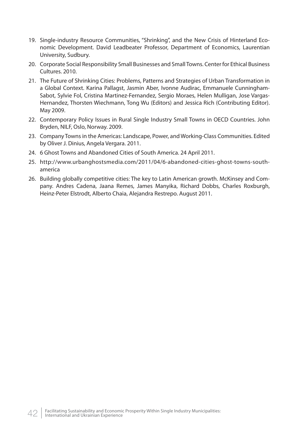- 19. Single-industry Resource Communities, "Shrinking", and the New Crisis of Hinterland Economic Development. David Leadbeater Professor, Department of Economics, Laurentian University, Sudbury.
- 20. Corporate Social Responsibility Small Businesses and Small Towns. Center for Ethical Business Cultures. 2010.
- 21. The Future of Shrinking Cities: Problems, Patterns and Strategies of Urban Transformation in a Global Context. Karina Pallagst, Jasmin Aber, Ivonne Audirac, Emmanuele Cunningham-Sabot, Sylvie Fol, Cristina Martinez-Fernandez, Sergio Moraes, Helen Mulligan, Jose Vargas-Hernandez, Thorsten Wiechmann, Tong Wu (Editors) and Jessica Rich (Contributing Editor). May 2009.
- 22. Contemporary Policy Issues in Rural Single Industry Small Towns in OECD Countries. John Bryden, NILF, Oslo, Norway. 2009.
- 23. Company Towns in the Americas: Landscape, Power, and Working-Class Communities. Edited by Oliver J. Dinius, Angela Vergara. 2011.
- 24. 6 Ghost Towns and Abandoned Cities of South America. 24 April 2011.
- 25. http://www.urbanghostsmedia.com/2011/04/6-abandoned-cities-ghost-towns-southamerica
- 26. Building globally competitive cities: The key to Latin American growth. McKinsey and Company. Andres Cadena, Jaana Remes, James Manyika, Richard Dobbs, Charles Roxburgh, Heinz-Peter Elstrodt, Alberto Chaia, Alejandra Restrepo. August 2011.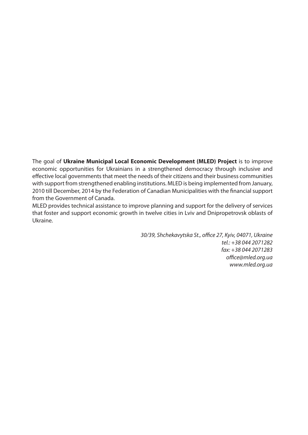The goal of **Ukraine Municipal Local Economic Development (MLED) Project** is to improve economic opportunities for Ukrainians in a strengthened democracy through inclusive and effective local governments that meet the needs of their citizens and their business communities with support from strengthened enabling institutions. MLED is being implemented from January, 2010 till December, 2014 by the Federation of Canadian Municipalities with the financial support from the Government of Canada.

MLED provides technical assistance to improve planning and support for the delivery of services that foster and support economic growth in twelve cities in Lviv and Dnipropetrovsk oblasts of Ukraine.

> 30/39, Shchekavytska St., office 27, Kyiv, 04071, Ukraine tel.: +38 044 2071282 fax: +38 044 2071283 office@mled.org.ua www.mled.org.ua